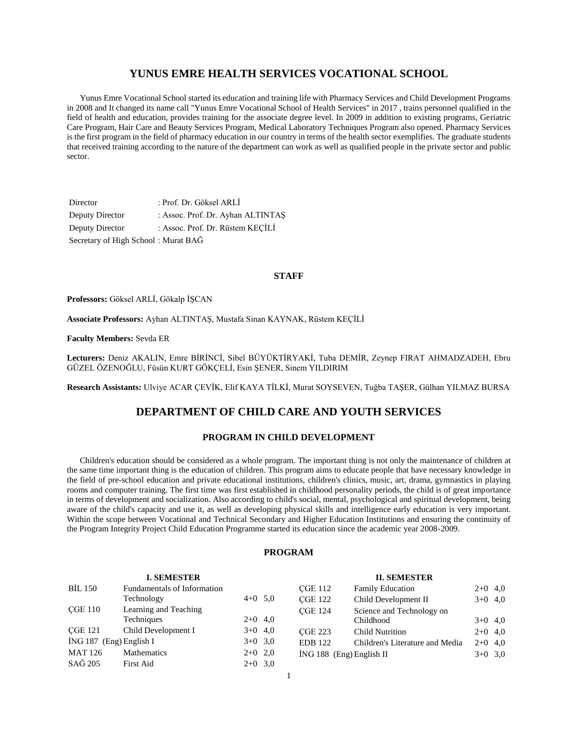### **YUNUS EMRE HEALTH SERVICES VOCATIONAL SCHOOL**

 Yunus Emre Vocational School started its education and training life with Pharmacy Services and Child Development Programs in 2008 and It changed its name call "Yunus Emre Vocational School of Health Services" in 2017 , trains personnel qualified in the field of health and education, provides training for the associate degree level. In 2009 in addition to existing programs, Geriatric Care Program, Hair Care and Beauty Services Program, Medical Laboratory Techniques Program also opened. Pharmacy Services is the first program in the field of pharmacy education in our country in terms of the health sector exemplifies. The graduate students that received training according to the nature of the department can work as well as qualified people in the private sector and public sector.

| Director                            | : Prof. Dr. Göksel ARLI           |
|-------------------------------------|-----------------------------------|
| Deputy Director                     | : Assoc. Prof. Dr. Ayhan ALTINTAS |
| Deputy Director                     | : Assoc. Prof. Dr. Rüstem KECILI  |
| Secretary of High School: Murat BAĞ |                                   |

#### **STAFF**

**Professors:** Göksel ARLİ, Gökalp İŞCAN

**Associate Professors:** Ayhan ALTINTAŞ, Mustafa Sinan KAYNAK, Rüstem KEÇİLİ

**Faculty Members:** Sevda ER

**Lecturers:** Deniz AKALIN, Emre BİRİNCİ, Sibel BÜYÜKTİRYAKİ, Tuba DEMİR, Zeynep FIRAT AHMADZADEH, Ebru GÜZEL ÖZENOĞLU, Füsün KURT GÖKÇELİ, Esin ŞENER, Sinem YILDIRIM

**Research Assistants:** Ulviye ACAR ÇEVİK, Elif KAYA TİLKİ, Murat SOYSEVEN, Tuğba TAŞER, Gülhan YILMAZ BURSA

### **DEPARTMENT OF CHILD CARE AND YOUTH SERVICES**

### **PROGRAM IN CHILD DEVELOPMENT**

 Children's education should be considered as a whole program. The important thing is not only the maintenance of children at the same time important thing is the education of children. This program aims to educate people that have necessary knowledge in the field of pre-school education and private educational institutions, children's clinics, music, art, drama, gymnastics in playing rooms and computer training. The first time was first established in childhood personality periods, the child is of great importance in terms of development and socialization. Also according to child's social, mental, psychological and spiritual development, being aware of the child's capacity and use it, as well as developing physical skills and intelligence early education is very important. Within the scope between Vocational and Technical Secondary and Higher Education Institutions and ensuring the continuity of the Program Integrity Project Child Education Programme started its education since the academic year 2008-2009.

#### **PROGRAM**

|                         | <b>I. SEMESTER</b>          |           |                            | <b>II. SEMESTER</b>             |           |  |
|-------------------------|-----------------------------|-----------|----------------------------|---------------------------------|-----------|--|
| <b>BİL 150</b>          | Fundamentals of Information |           | <b>CGE 112</b>             | <b>Family Education</b>         | $2+0$ 4,0 |  |
|                         | Technology                  | $4+0$ 5.0 | <b>CGE 122</b>             | Child Development II            | $3+0$ 4,0 |  |
| <b>CGE 110</b>          | Learning and Teaching       |           | <b>CGE 124</b>             | Science and Technology on       |           |  |
|                         | Techniques                  | $2+0$ 4,0 |                            | Childhood                       | $3+0$ 4,0 |  |
| <b>CGE 121</b>          | Child Development I         | $3+0$ 4,0 | <b>CGE 223</b>             | <b>Child Nutrition</b>          | $2+0$ 4,0 |  |
| İNG 187 (Eng) English I |                             | $3+0$ 3,0 | <b>EDB</b> 122             | Children's Literature and Media | $2+0$ 4,0 |  |
| <b>MAT 126</b>          | <b>Mathematics</b>          | $2+0$ 2,0 | $ING 188$ (Eng) English II |                                 | $3+0$ 3,0 |  |
| SAĞ 205                 | First Aid                   | $2+0$ 3.0 |                            |                                 |           |  |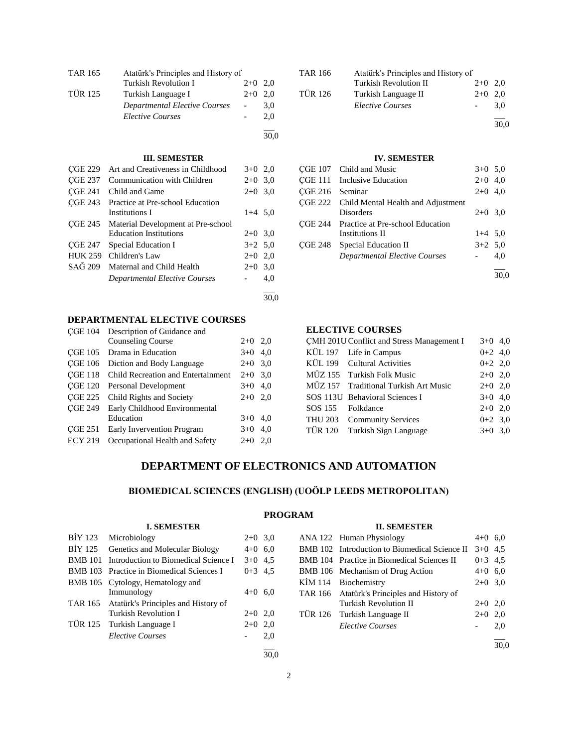| <b>TAR 165</b> | Atatürk's Principles and History of |           |      |
|----------------|-------------------------------------|-----------|------|
|                | Turkish Revolution I                | $2+0$     | 2,0  |
| <b>TÜR 125</b> | Turkish Language I                  | $2+0$     | 2,0  |
|                | Departmental Elective Courses       |           | 3,0  |
|                | <b>Elective Courses</b>             |           | 2,0  |
|                |                                     |           | 30,0 |
|                | <b>III. SEMESTER</b>                |           |      |
| CGE 229        | Art and Creativeness in Childhood   | $3+0$ 2,0 |      |
| CGE 237        | Communication with Children         | $2+0$ 3,0 |      |
| CGE 241        | Child and Game                      | $2+0$ 3,0 |      |
| <b>CGE 243</b> | Practice at Pre-school Education    |           |      |
|                | Institutions I                      | $1+4$ 5.0 |      |
| CGE 245        | Material Development at Pre-school  |           |      |
|                | <b>Education Institutions</b>       | $2+0$     | 3,0  |
| CGE 247        | Special Education I                 | $3+2$ 5,0 |      |
| <b>HUK 259</b> | Children's Law                      | $2+0$ 2,0 |      |
| SAĞ 209        | Maternal and Child Health           | $2+0$ 3,0 |      |
|                | Departmental Elective Courses       |           | 4,0  |
|                |                                     |           | 30,0 |

### **DEPARTMENTAL ELECTIVE COURSES**

|                | ÇGE 104 Description of Guidance and |           |     |
|----------------|-------------------------------------|-----------|-----|
|                | <b>Counseling Course</b>            | $2+0$ 2,0 |     |
| CGE 105        | Drama in Education                  | $3+0$ 4,0 |     |
| <b>CGE 106</b> | Diction and Body Language           | $2+0$ 3.0 |     |
| <b>CGE 118</b> | Child Recreation and Entertainment  | $2+0$ 3,0 |     |
| <b>CGE 120</b> | Personal Development                | $3+0$ 4,0 |     |
| <b>CGE 225</b> | Child Rights and Society            | $2+0$     | 2.0 |
| <b>CGE 249</b> | Early Childhood Environmental       |           |     |
|                | Education                           | $3+0$ 4,0 |     |
| <b>CGE 251</b> | Early Invervention Program          | $3+0$ 4,0 |     |
| <b>ECY 219</b> | Occupational Health and Safety      | $2+0$     | 2.0 |
|                |                                     |           |     |

**I. SEMESTER**

| TAR 166        | Atatürk's Principles and History of |           |      |
|----------------|-------------------------------------|-----------|------|
|                | <b>Turkish Revolution II</b>        | $2+0$ 2.0 |      |
| <b>TÜR 126</b> | Turkish Language II                 | $2+0$     | 2.0  |
|                | <b>Elective Courses</b>             |           | 3.0  |
|                |                                     |           | 30,0 |

### **IV. SEMESTER**

|                 | ÇGE 107 Child and Music                    | $3+0$ 5.0 |      |
|-----------------|--------------------------------------------|-----------|------|
|                 | <b>CGE 111</b> Inclusive Education         | $2+0$ 4,0 |      |
| CGE 216 Seminar |                                            | $2+0$ 4,0 |      |
|                 | CGE 222 Child Mental Health and Adjustment |           |      |
|                 | <b>Disorders</b>                           | $2+0$ 3.0 |      |
|                 | CGE 244 Practice at Pre-school Education   |           |      |
|                 | Institutions II                            | $1+4$ 5.0 |      |
| CGE 248         | Special Education II                       | $3+2$ 5.0 |      |
|                 | <b>Departmental Elective Courses</b>       |           | 4,0  |
|                 |                                            |           | 30,0 |

### **ELECTIVE COURSES**

|                   | CMH 201U Conflict and Stress Management I | $3+0$ 4,0 |  |
|-------------------|-------------------------------------------|-----------|--|
|                   | KÜL 197 Life in Campus                    | $0+2$ 4,0 |  |
|                   | KÜL 199 Cultural Activities               | $0+2$ 2,0 |  |
|                   | MÜZ 155 Turkish Folk Music                | $2+0$ 2,0 |  |
|                   | MÜZ 157 Traditional Turkish Art Music     | $2+0$ 2,0 |  |
|                   | SOS 113U Behavioral Sciences I            | $3+0$ 4.0 |  |
| SOS 155 Folkdance |                                           | $2+0$ 2,0 |  |
|                   | THU 203 Community Services                | $0+2$ 3,0 |  |
|                   | TÜR 120 Turkish Sign Language             | $3+0$ 3.0 |  |
|                   |                                           |           |  |

# **DEPARTMENT OF ELECTRONICS AND AUTOMATION**

### **BIOMEDICAL SCIENCES (ENGLISH) (UOÖLP LEEDS METROPOLITAN)**

## **PROGRAM**

### **II. SEMESTER**

| BİY 123        | Microbiology                                 | $2+0$ 3.0 |      |         | ANA 122 Human Physiology                      | $4+0$ 6.0 |      |
|----------------|----------------------------------------------|-----------|------|---------|-----------------------------------------------|-----------|------|
|                | BIY 125 Genetics and Molecular Biology       | $4+0$ 6.0 |      |         | BMB 102 Introduction to Biomedical Science II | $3+0$ 4.5 |      |
|                | BMB 101 Introduction to Biomedical Science I | $3+0$ 4.5 |      |         | BMB 104 Practice in Biomedical Sciences II    | $0+3$ 4.5 |      |
|                | BMB 103 Practice in Biomedical Sciences I    | $0+3$ 4.5 |      |         | BMB 106 Mechanism of Drug Action              | $4+0$ 6,0 |      |
|                | BMB 105 Cytology, Hematology and             |           |      | KIM 114 | Biochemistry                                  | $2+0$ 3.0 |      |
|                | Immunology                                   | $4+0$ 6,0 |      | TAR 166 | Atatürk's Principles and History of           |           |      |
|                | TAR 165 Atatürk's Principles and History of  |           |      |         | Turkish Revolution II                         | $2+0$ 2,0 |      |
|                | Turkish Revolution I                         | $2+0$ 2,0 |      | TUR 126 | Turkish Language II                           | $2+0$ 2,0 |      |
| <b>TÜR 125</b> | Turkish Language I                           | $2+0$ 2,0 |      |         | <b>Elective Courses</b>                       |           | 2,0  |
|                | <b>Elective Courses</b>                      |           | 2,0  |         |                                               |           |      |
|                |                                              |           |      |         |                                               |           | 30,0 |
|                |                                              |           | 30.0 |         |                                               |           |      |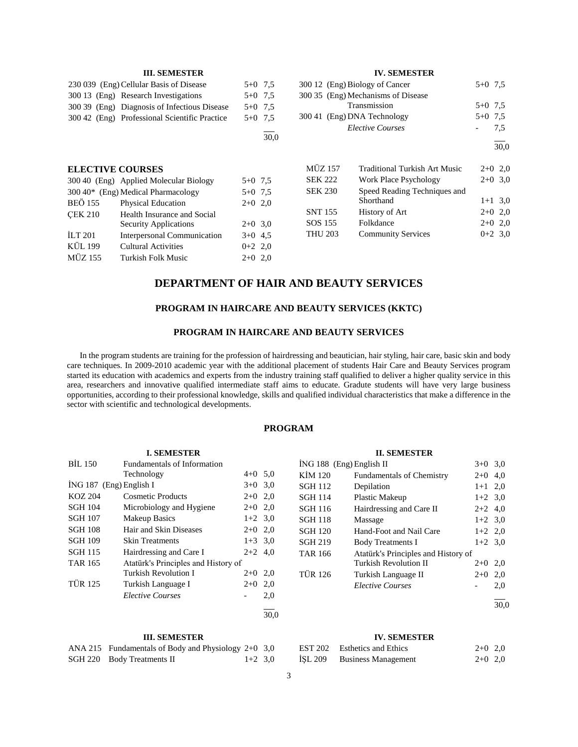|                         | <b>III. SEMESTER</b>                          |           |      |                | <b>IV. SEMESTER</b>                  |           |           |
|-------------------------|-----------------------------------------------|-----------|------|----------------|--------------------------------------|-----------|-----------|
|                         | 230 039 (Eng) Cellular Basis of Disease       | $5+0$ 7.5 |      |                | 300 12 (Eng) Biology of Cancer       | $5+0$ 7.5 |           |
|                         | 300.13 (Eng) Research Investigations          | $5+0$ 7.5 |      |                | 300 35 (Eng) Mechanisms of Disease   |           |           |
|                         | 300 39 (Eng) Diagnosis of Infectious Disease  | $5+0$ 7.5 |      |                | Transmission                         | $5+0$ 7.5 |           |
|                         | 300.42 (Eng) Professional Scientific Practice | $5+0$ 7.5 |      |                | 300 41 (Eng) DNA Technology          | $5+0$ 7.5 |           |
|                         |                                               |           |      |                | <b>Elective Courses</b>              |           | 7,5       |
|                         |                                               |           | 30,0 |                |                                      |           | 30,0      |
| <b>ELECTIVE COURSES</b> |                                               |           |      | <b>MÜZ 157</b> | <b>Traditional Turkish Art Music</b> |           | $2+0$ 2,0 |
|                         | 300 40 (Eng) Applied Molecular Biology        | $5+0$ 7.5 |      | <b>SEK 222</b> | Work Place Psychology                |           | $2+0$ 3.0 |
|                         | $300\,40*$ (Eng) Medical Pharmacology         | $5+0$ 7.5 |      | <b>SEK 230</b> | Speed Reading Techniques and         |           |           |
| <b>BEÖ 155</b>          | <b>Physical Education</b>                     | $2+0$ 2,0 |      |                | Shorthand                            |           | $1+1$ 3.0 |
| <b>CEK 210</b>          | Health Insurance and Social                   |           |      | <b>SNT 155</b> | History of Art                       |           | $2+0$ 2,0 |
|                         | <b>Security Applications</b>                  | $2+0$ 3.0 |      | SOS 155        | Folkdance                            |           | $2+0$ 2,0 |
| ILT 201                 | Interpersonal Communication                   | $3+0$ 4.5 |      | <b>THU 203</b> | <b>Community Services</b>            |           | $0+2$ 3,0 |
| KÜL 199                 | Cultural Activities                           | $0+2$ 2,0 |      |                |                                      |           |           |
| <b>MÜZ 155</b>          | Turkish Folk Music                            | $2+0$ 2,0 |      |                |                                      |           |           |
|                         |                                               |           |      |                |                                      |           |           |

## **DEPARTMENT OF HAIR AND BEAUTY SERVICES**

### **PROGRAM IN HAIRCARE AND BEAUTY SERVICES (KKTC)**

### **PROGRAM IN HAIRCARE AND BEAUTY SERVICES**

 In the program students are training for the profession of hairdressing and beautician, hair styling, hair care, basic skin and body care techniques. In 2009-2010 academic year with the additional placement of students Hair Care and Beauty Services program started its education with academics and experts from the industry training staff qualified to deliver a higher quality service in this area, researchers and innovative qualified intermediate staff aims to educate. Gradute students will have very large business opportunities, according to their professional knowledge, skills and qualified individual characteristics that make a difference in the sector with scientific and technological developments.

### **PROGRAM**

| <b>I. SEMESTER</b>        |                                     |           |      |  |
|---------------------------|-------------------------------------|-----------|------|--|
| BIL 150                   | <b>Fundamentals of Information</b>  |           |      |  |
|                           | Technology                          | $4+0$ 5,0 |      |  |
| $ING 187$ (Eng) English I |                                     | $3+0$ 3.0 |      |  |
| KOZ 204                   | Cosmetic Products                   | $2+0$ 2,0 |      |  |
| SGH 104                   | Microbiology and Hygiene            | $2+0$ 2,0 |      |  |
| SGH 107                   | Makeup Basics                       | $1+2$ 3.0 |      |  |
| SGH 108                   | Hair and Skin Diseases              | $2+0$ 2,0 |      |  |
| SGH 109                   | Skin Treatments                     | $1+3$ 3.0 |      |  |
| <b>SGH 115</b>            | Hairdressing and Care I             | $2+2$ 4.0 |      |  |
| TAR 165                   | Atatürk's Principles and History of |           |      |  |
|                           | Turkish Revolution I                | $2+0$     | 2,0  |  |
| <b>TÜR 125</b>            | Turkish Language I                  | $2+0$     | 2,0  |  |
|                           | <i>Elective Courses</i>             |           | 2,0  |  |
|                           |                                     |           | 30.0 |  |

#### **III. SEMESTER**

| ANA 215 Fundamentals of Body and Physiology 2+0 3,0 |           |  |
|-----------------------------------------------------|-----------|--|
| SGH 220 Body Treatments II                          | $1+2$ 3.0 |  |

|                          | <b>II. SEMESTER</b>                 |           |      |
|--------------------------|-------------------------------------|-----------|------|
| İNG 188 (Eng) English II |                                     | $3+0$ 3.0 |      |
| KİM 120                  | <b>Fundamentals of Chemistry</b>    | $2+0$     | 4.0  |
| <b>SGH 112</b>           | Depilation                          | $1+1$ 2,0 |      |
| <b>SGH 114</b>           | <b>Plastic Makeup</b>               | $1+2$ 3.0 |      |
| SGH 116                  | Hairdressing and Care II            | $2+2$ 4.0 |      |
| <b>SGH 118</b>           | Massage                             | $1+2$ 3.0 |      |
| <b>SGH 120</b>           | Hand-Foot and Nail Care             | $1+2$ 2.0 |      |
| <b>SGH 219</b>           | <b>Body Treatments I</b>            | $1+2$ 3.0 |      |
| TAR 166                  | Atatürk's Principles and History of |           |      |
|                          | <b>Turkish Revolution II</b>        | $2+0$     | 2,0  |
| <b>TÜR 126</b>           | Turkish Language II                 | $2+0$     | 2,0  |
|                          | <i>Elective Courses</i>             |           | 2,0  |
|                          |                                     |           | 30.0 |

### **IV. SEMESTER**

|         | EST 202 Esthetics and Ethics | $2+0$ 2,0 |  |
|---------|------------------------------|-----------|--|
| İŞL 209 | <b>Business Management</b>   | $2+0$ 2,0 |  |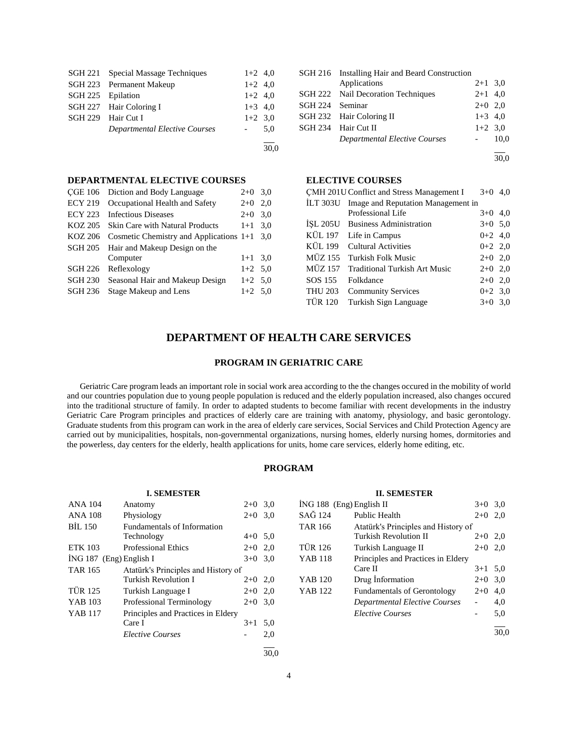|                   | SGH 221 Special Massage Techniques | $1+2$ 4,0           |     |
|-------------------|------------------------------------|---------------------|-----|
|                   | SGH 223 Permanent Makeup           | $1+2$ 4,0           |     |
| SGH 225 Epilation |                                    | $1+2$ 4,0           |     |
|                   | SGH 227 Hair Coloring I            | $1+3$ 4,0           |     |
|                   | SGH 229 Hair Cut I                 | $1+2$ 3,0           |     |
|                   | Departmental Elective Courses      | $\omega_{\rm{max}}$ | 5.0 |
|                   |                                    |                     |     |

30,0

### **DEPARTMENTAL ELECTIVE COURSES**

| CGE 106        | Diction and Body Language                     | $2+0$ 3.0 |     |
|----------------|-----------------------------------------------|-----------|-----|
| <b>ECY 219</b> | Occupational Health and Safety                | $2+0$     | 2,0 |
| ECY 223        | <b>Infectious Diseases</b>                    | $2+0$     | 3,0 |
| KOZ 205        | <b>Skin Care with Natural Products</b>        | $1+1$     | 3.0 |
| KOZ 206        | Cosmetic Chemistry and Applications $1+1$ 3,0 |           |     |
| SGH 205        | Hair and Makeup Design on the                 |           |     |
|                | Computer                                      | $1+1$ 3.0 |     |
| <b>SGH 226</b> | Reflexology                                   | $1+2$ 5.0 |     |
| <b>SGH 230</b> | Seasonal Hair and Makeup Design               | $1+2$ 5.0 |     |
| SGH 236        | Stage Makeup and Lens                         | $1+2$ 5.0 |     |
|                |                                               |           |     |

|                 | SGH 216 Installing Hair and Beard Construction |           |      |
|-----------------|------------------------------------------------|-----------|------|
|                 | Applications                                   | $2+1$ 3.0 |      |
|                 | SGH 222 Nail Decoration Techniques             | $2+1$ 4,0 |      |
| SGH 224 Seminar |                                                | $2+0$ 2,0 |      |
|                 | SGH 232 Hair Coloring II                       | $1+3$ 4.0 |      |
|                 | SGH 234 Hair Cut II                            | $1+2$ 3,0 |      |
|                 | Departmental Elective Courses                  |           | 10.0 |
|                 |                                                |           |      |

30,0

### **ELECTIVE COURSES**

|                | CMH 201U Conflict and Stress Management I   | $3+0$     | 4.0 |
|----------------|---------------------------------------------|-----------|-----|
|                | ILT 303U Image and Reputation Management in |           |     |
|                | Professional Life                           | $3+0$ 4,0 |     |
|                | ISL 205U Business Administration            | $3+0$ 5.0 |     |
|                | KÜL 197 Life in Campus                      | $0+2$ 4,0 |     |
| KÜL 199        | <b>Cultural Activities</b>                  | $0+2$ 2,0 |     |
|                | MÜZ 155 Turkish Folk Music                  | $2+0$ 2,0 |     |
|                | MÜZ 157 Traditional Turkish Art Music       | $2+0$ 2,0 |     |
| SOS 155        | Folkdance                                   | $2+0$ 2,0 |     |
|                | THU 203 Community Services                  | $0+2$ 3.0 |     |
| <b>TÜR 120</b> | Turkish Sign Language                       | $3+0$ 3.0 |     |

### **DEPARTMENT OF HEALTH CARE SERVICES**

#### **PROGRAM IN GERIATRIC CARE**

 Geriatric Care program leads an important role in social work area according to the the changes occured in the mobility of world and our countries population due to young people population is reduced and the elderly population increased, also changes occured into the traditional structure of family. In order to adapted students to become familiar with recent developments in the industry Geriatric Care Program principles and practices of elderly care are training with anatomy, physiology, and basic gerontology. Graduate students from this program can work in the area of elderly care services, Social Services and Child Protection Agency are carried out by municipalities, hospitals, non-governmental organizations, nursing homes, elderly nursing homes, dormitories and the powerless, day centers for the elderly, health applications for units, home care services, elderly home editing, etc.

### **PROGRAM**

|                           | <b>I. SEMESTER</b>                  |           |     |
|---------------------------|-------------------------------------|-----------|-----|
| <b>ANA 104</b>            | Anatomy                             | $2+0$     | 3,0 |
| <b>ANA 108</b>            | Physiology                          | $2+0$     | 3,0 |
| <b>BIL 150</b>            | Fundamentals of Information         |           |     |
|                           | Technology                          | $4+0$ 5,0 |     |
| <b>ETK 103</b>            | <b>Professional Ethics</b>          | $2+0$ 2,0 |     |
| $ING 187$ (Eng) English I |                                     | $3+0$ 3,0 |     |
| <b>TAR 165</b>            | Atatürk's Principles and History of |           |     |
|                           | <b>Turkish Revolution I</b>         | $2+0$ 2,0 |     |
| <b>TÜR 125</b>            | Turkish Language I                  | $2+0$ 2,0 |     |
| YAB 103                   | Professional Terminology            | $2+0$ 3,0 |     |
| <b>YAB</b> 117            | Principles and Practices in Eldery  |           |     |
|                           | Care I                              | $3+1$     | 5,0 |
|                           | <b>Elective Courses</b>             |           | 2,0 |
|                           |                                     |           |     |

|                            | <b>II. SEMESTER</b>                 |           |      |
|----------------------------|-------------------------------------|-----------|------|
| $ING 188$ (Eng) English II |                                     | $3+0$ 3.0 |      |
| SAĞ 124                    | <b>Public Health</b>                | $2+0$     | 2.0  |
| <b>TAR 166</b>             | Atatürk's Principles and History of |           |      |
|                            | Turkish Revolution II               | $2+0$ 2.0 |      |
| <b>TÜR 126</b>             | Turkish Language II                 | $2+0$     | 2.0  |
| <b>YAB 118</b>             | Principles and Practices in Eldery  |           |      |
|                            | Care II                             | $3+1$     | 5,0  |
| YAB 120                    | Drug Information                    | $2+0$     | 3,0  |
| YAR 122                    | <b>Fundamentals of Gerontology</b>  | $2+0$     | 4.0  |
|                            | Departmental Elective Courses       |           | 4,0  |
|                            | <i>Elective Courses</i>             |           | 5,0  |
|                            |                                     |           | 30.0 |

30,0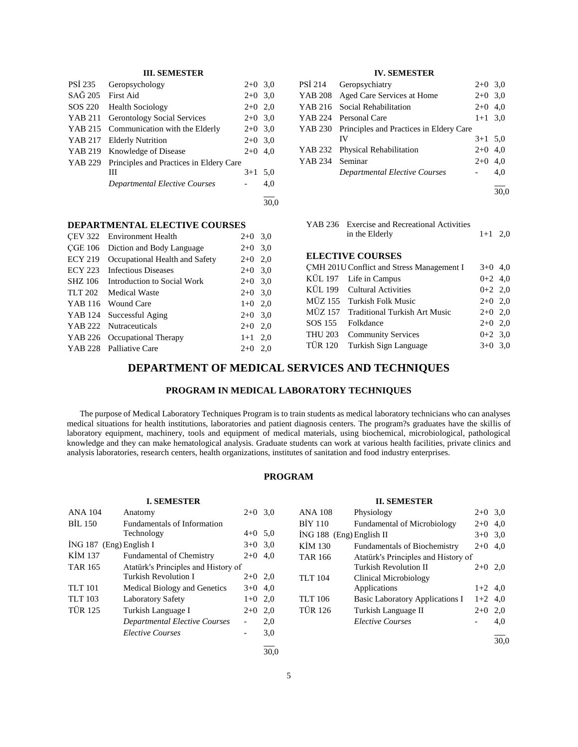### **III. SEMESTER**

| PSI 235        | Geropsychology                          | $2+0$ 3,0 |     |
|----------------|-----------------------------------------|-----------|-----|
| SAĞ 205        | <b>First Aid</b>                        | $2+0$ 3.0 |     |
| SOS 220        | <b>Health Sociology</b>                 | $2+0$ 2,0 |     |
| <b>YAB 211</b> | <b>Gerontology Social Services</b>      | $2+0$ 3.0 |     |
| YAB 215        | Communication with the Elderly          | $2+0$ 3.0 |     |
| YAB 217        | <b>Elderly Nutrition</b>                | $2+0$ 3.0 |     |
| YAB 219        | Knowledge of Disease                    | $2+0$     | 4.0 |
| YAB 229        | Principles and Practices in Eldery Care |           |     |
|                | Ш                                       | $3+1$     | 5,0 |
|                | <b>Departmental Elective Courses</b>    |           | 4,0 |
|                |                                         |           |     |

# **IV. SEMESTER**

| PSI 214         | Geropsychiatry                                  | $2+0$ 3.0 |      |
|-----------------|-------------------------------------------------|-----------|------|
|                 | YAB 208 Aged Care Services at Home              | $2+0$ 3.0 |      |
|                 | YAB 216 Social Rehabilitation                   | $2+0$ 4.0 |      |
|                 | YAB 224 Personal Care                           | $1+1$ 3.0 |      |
|                 | YAB 230 Principles and Practices in Eldery Care |           |      |
|                 | IV                                              | $3+1$ 5,0 |      |
|                 | YAB 232 Physical Rehabilitation                 | $2+0$ 4,0 |      |
| YAB 234 Seminar |                                                 | $2+0$     | 4.0  |
|                 | <b>Departmental Elective Courses</b>            |           | 4.0  |
|                 |                                                 |           |      |
|                 |                                                 |           | 30.0 |

| <b>DEPARTMENTAL ELECTIVE COURSES</b> |  |  |
|--------------------------------------|--|--|
|                                      |  |  |

| <b>CEV 322</b> Environment Health                | $2+0$ 3,0 |     |
|--------------------------------------------------|-----------|-----|
| CGE 106<br>Diction and Body Language             | $2+0$ 3,0 |     |
| <b>ECY 219</b><br>Occupational Health and Safety | $2+0$ 2,0 |     |
| ECY 223 Infectious Diseases                      | $2+0$ 3,0 |     |
| SHZ 106<br>Introduction to Social Work           | $2+0$ 3,0 |     |
| TLT 202<br><b>Medical Waste</b>                  | $2+0$ 3.0 |     |
| YAB 116 Wound Care                               | $1+0$ 2,0 |     |
| YAB 124 Successful Aging                         | $2+0$ 3,0 |     |
| YAB 222 Nutraceuticals                           | $2+0$ 2,0 |     |
| YAB 226 Occupational Therapy                     | $1+1$ 2,0 |     |
| YAB 228 Palliative Care                          | $2+0$     | 2.0 |
|                                                  |           |     |

| YAB 236 Exercise and Recreational Activities |           |  |
|----------------------------------------------|-----------|--|
| in the Elderly                               | $1+1$ 2,0 |  |

### **ELECTIVE COURSES**

|                   | CMH 201U Conflict and Stress Management I | $3+0$ 4,0 |  |
|-------------------|-------------------------------------------|-----------|--|
|                   | KÜL 197 Life in Campus                    | $0+2$ 4,0 |  |
|                   | KÜL 199 Cultural Activities               | $0+2$ 2,0 |  |
|                   | MÜZ 155 Turkish Folk Music                | $2+0$ 2,0 |  |
|                   | MÜZ 157 Traditional Turkish Art Music     | $2+0$ 2,0 |  |
| SOS 155 Folkdance |                                           | $2+0$ 2,0 |  |
|                   | THU 203 Community Services                | $0+2$ 3.0 |  |
|                   | TÜR 120 Turkish Sign Language             | $3+0$ 3.0 |  |
|                   |                                           |           |  |

# **DEPARTMENT OF MEDICAL SERVICES AND TECHNIQUES**

### **PROGRAM IN MEDICAL LABORATORY TECHNIQUES**

 The purpose of Medical Laboratory Techniques Program is to train students as medical laboratory technicians who can analyses medical situations for health institutions, laboratories and patient diagnosis centers. The program?s graduates have the skillis of laboratory equipment, machinery, tools and equipment of medical materials, using biochemical, microbiological, pathological knowledge and they can make hematological analysis. Graduate students can work at various health facilities, private clinics and analysis laboratories, research centers, health organizations, institutes of sanitation and food industry enterprises.

### **PROGRAM**

|                           | <b>I. SEMESTER</b>                   |                          |      |                            | <b>II. SEMESTER</b>                    |           |      |
|---------------------------|--------------------------------------|--------------------------|------|----------------------------|----------------------------------------|-----------|------|
| <b>ANA 104</b>            | Anatomy                              | $2+0$ 3.0                |      | <b>ANA 108</b>             | Physiology                             | $2+0$ 3.0 |      |
| BIL 150                   | Fundamentals of Information          |                          |      | <b>BIY 110</b>             | <b>Fundamental of Microbiology</b>     | $2+0$ 4,0 |      |
|                           | Technology                           | $4+0$ 5.0                |      | $ING 188$ (Eng) English II |                                        | $3+0$ 3.0 |      |
| $ING 187$ (Eng) English I |                                      | $3+0$ 3.0                |      | KIM 130                    | <b>Fundamentals of Biochemistry</b>    | $2+0$ 4,0 |      |
| KIM 137                   | <b>Fundamental of Chemistry</b>      | $2+0$ 4,0                |      | <b>TAR 166</b>             | Atatürk's Principles and History of    |           |      |
| <b>TAR 165</b>            | Atatürk's Principles and History of  |                          |      |                            | <b>Turkish Revolution II</b>           | $2+0$ 2.0 |      |
|                           | Turkish Revolution I                 | $2+0$ 2,0                |      | <b>TLT</b> 104             | Clinical Microbiology                  |           |      |
| <b>TLT 101</b>            | <b>Medical Biology and Genetics</b>  | $3+0$ 4,0                |      |                            | Applications                           | $1+2$ 4,0 |      |
| <b>TLT</b> 103            | <b>Laboratory Safety</b>             | $1+0$ 2,0                |      | <b>TLT</b> 106             | <b>Basic Laboratory Applications I</b> | $1+2$ 4,0 |      |
| <b>TÜR 125</b>            | Turkish Language I                   | $2+0$ 2,0                |      | <b>TÜR 126</b>             | Turkish Language II                    | $2+0$ 2,0 |      |
|                           | <b>Departmental Elective Courses</b> | $\overline{\phantom{0}}$ | 2,0  |                            | <b>Elective Courses</b>                |           | 4,0  |
|                           | <b>Elective Courses</b>              | $\overline{\phantom{a}}$ | 3,0  |                            |                                        |           | 30,0 |
|                           |                                      |                          | 30.0 |                            |                                        |           |      |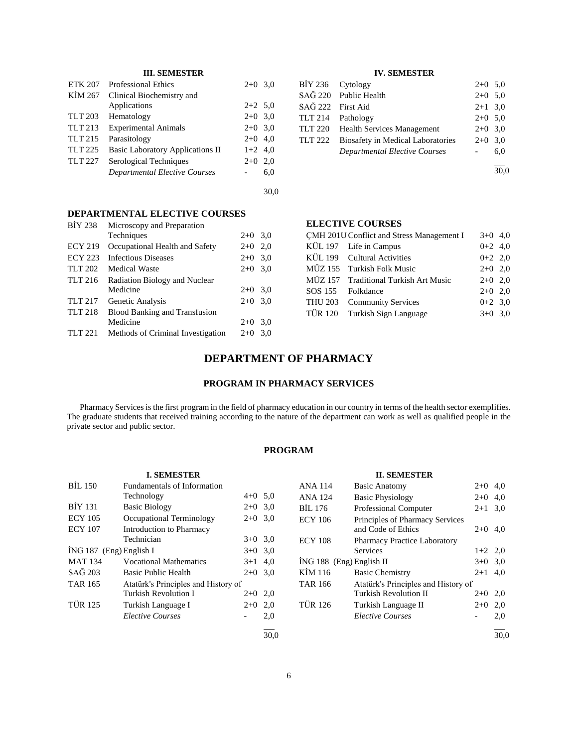## **III. SEMESTER**

| <b>ETK 207</b> | <b>Professional Ethics</b>              | $2+0$ 3,0 |     |
|----------------|-----------------------------------------|-----------|-----|
| KIM 267        | Clinical Biochemistry and               |           |     |
|                | Applications                            | $2+2$ 5.0 |     |
| <b>TLT 203</b> | Hematology                              | $2+0$ 3.0 |     |
| TLT 213        | <b>Experimental Animals</b>             | $2+0$ 3.0 |     |
| <b>TLT 215</b> | Parasitology                            | $2+0$ 4,0 |     |
| TLT 225        | <b>Basic Laboratory Applications II</b> | $1+2$ 4,0 |     |
| <b>TLT 227</b> | Serological Techniques                  | $2+0$     | 2.0 |
|                | <b>Departmental Elective Courses</b>    |           | 6,0 |
|                |                                         |           |     |

Techniques 2+0 3,0

**DEPARTMENTAL ELECTIVE COURSES**

ECY 219 Occupational Health and Safety 2+0 2,0 ECY 223 Infectious Diseases 2+0 3,0 TLT 202 Medical Waste 2+0 3,0

TLT 217 Genetic Analysis 2+0 3,0

TLT 221 Methods of Criminal Investigation 2+0 3,0

BİY 238 Microscopy and Preparation

TLT 216 Radiation Biology and Nuclear<br>Medicine

TLT 218 Blood Banking and Transfusion<br>Medicine

#### **IV. SEMESTER**

| BIY 236 Cytology  |                                          | $2+0$ 5.0 |     |
|-------------------|------------------------------------------|-----------|-----|
|                   | SAĞ 220 Public Health                    | $2+0$ 5.0 |     |
| SAĞ 222 First Aid |                                          | $2+1$ 3,0 |     |
|                   | TLT 214 Pathology                        | $2+0$ 5.0 |     |
|                   | TLT 220 Health Services Management       | $2+0$ 3.0 |     |
| <b>TLT 222</b>    | <b>Biosafety in Medical Laboratories</b> | $2+0$ 3.0 |     |
|                   | <b>Departmental Elective Courses</b>     |           | 6,0 |
|                   |                                          |           |     |

 $\frac{1}{30.0}$ 

#### **ELECTIVE COURSES**

|                   | CMH 201U Conflict and Stress Management I | $3+0$ 4,0 |  |
|-------------------|-------------------------------------------|-----------|--|
|                   | KÜL 197 Life in Campus                    | $0+2$ 4,0 |  |
|                   | KÜL 199 Cultural Activities               | $0+2$ 2,0 |  |
|                   | MÜZ 155 Turkish Folk Music                | $2+0$ 2,0 |  |
|                   | MÜZ 157 Traditional Turkish Art Music     | $2+0$ 2.0 |  |
| SOS 155 Folkdance |                                           | $2+0$ 2,0 |  |
|                   | THU 203 Community Services                | $0+2$ 3,0 |  |
|                   | TÜR 120 Turkish Sign Language             | $3+0$ 3,0 |  |
|                   |                                           |           |  |

### **DEPARTMENT OF PHARMACY**

 $2+0$  3,0

 $2+0$  3,0

### **PROGRAM IN PHARMACY SERVICES**

 Pharmacy Services is the first program in the field of pharmacy education in our country in terms of the health sector exemplifies. The graduate students that received training according to the nature of the department can work as well as qualified people in the private sector and public sector.

#### **PROGRAM**

|                           | <b>I. SEMESTER</b>                  |         |      |
|---------------------------|-------------------------------------|---------|------|
| BIL 150                   | <b>Fundamentals of Information</b>  |         |      |
|                           | Technology                          | $4 + 0$ | 5,0  |
| <b>BIY 131</b>            | <b>Basic Biology</b>                | $2+0$   | 3,0  |
| <b>ECY 105</b>            | Occupational Terminology            | $2+0$   | 3,0  |
| <b>ECY 107</b>            | Introduction to Pharmacy            |         |      |
|                           | Technician                          | $3+0$   | 3,0  |
| $ING 187$ (Eng) English I |                                     | $3+0$   | 3,0  |
| <b>MAT 134</b>            | <b>Vocational Mathematics</b>       | $3+1$   | 4,0  |
| $SA\bar{G}$ 203           | Basic Public Health                 | $2+0$   | 3,0  |
| <b>TAR 165</b>            | Atatürk's Principles and History of |         |      |
|                           | Turkish Revolution I                | $2+0$   | 2,0  |
| <b>TÜR 125</b>            | Turkish Language I                  | $2+0$   | 2,0  |
|                           | <i>Elective Courses</i>             |         | 2,0  |
|                           |                                     |         | 30.0 |

|                            | <b>II. SEMESTER</b>                 |           |     |
|----------------------------|-------------------------------------|-----------|-----|
| <b>ANA 114</b>             | <b>Basic Anatomy</b>                | $2+0$ 4.0 |     |
| ANA 124                    | <b>Basic Physiology</b>             | $2+0$     | 4,0 |
| BIL 176                    | <b>Professional Computer</b>        | $2+1$ 3.0 |     |
| <b>ECY 106</b>             | Principles of Pharmacy Services     |           |     |
|                            | and Code of Ethics                  | $2+0$     | 4.0 |
| <b>ECY 108</b>             | <b>Pharmacy Practice Laboratory</b> |           |     |
|                            | Services                            | $1+2$ 2,0 |     |
| $ING 188$ (Eng) English II |                                     | $3+0$ 3.0 |     |
| KIM 116                    | <b>Basic Chemistry</b>              | $2 + 1$   | 4.0 |
| <b>TAR 166</b>             | Atatürk's Principles and History of |           |     |
|                            | Turkish Revolution II               | $2+0$     | 2,0 |
| <b>TÜR 126</b>             | Turkish Language II                 | $2+0$     | 2,0 |
|                            | <i>Elective Courses</i>             |           | 2,0 |
|                            |                                     |           |     |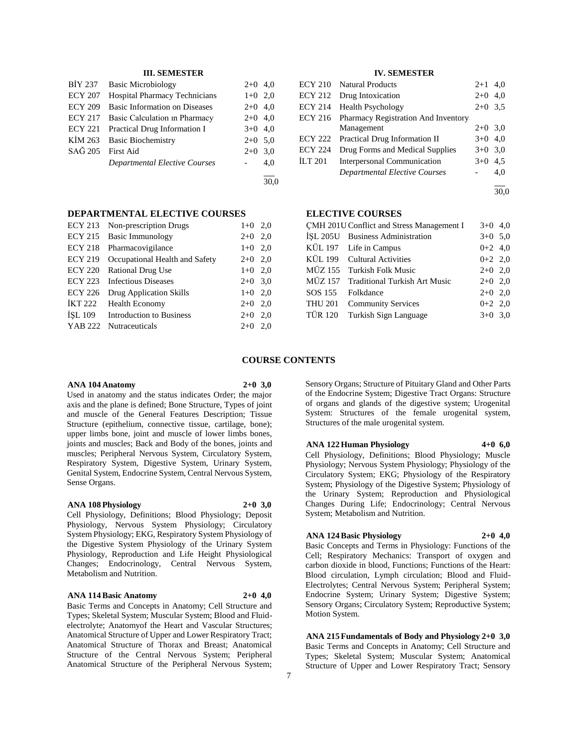### **III. SEMESTER**

| BIY 237           | <b>Basic Microbiology</b>            | $2+0$ 4,0 |     |
|-------------------|--------------------------------------|-----------|-----|
| <b>ECY 207</b>    | <b>Hospital Pharmacy Technicians</b> | $1+0$ 2,0 |     |
| <b>ECY 209</b>    | <b>Basic Information on Diseases</b> | $2+0$ 4,0 |     |
| ECY 217           | Basic Calculation in Pharmacy        | $2+0$ 4,0 |     |
| ECY 221           | Practical Drug Information I         | $3+0$ 4,0 |     |
|                   | KİM 263 Basic Biochemistry           | $2+0$ 5,0 |     |
| SAĞ 205 First Aid |                                      | $2+0$ 3.0 |     |
|                   | <b>Departmental Elective Courses</b> |           | 4,0 |
|                   |                                      |           |     |

 $\frac{1}{30.0}$ 

### **DEPARTMENTAL ELECTIVE COURSES**

| <b>ECY 213</b> | Non-prescription Drugs          | $1+0$ 2,0 |     |
|----------------|---------------------------------|-----------|-----|
| <b>ECY 215</b> | Basic Immunology                | $2+0$ 2,0 |     |
| <b>ECY 218</b> | Pharmacovigilance               | $1+0$ 2,0 |     |
| <b>ECY 219</b> | Occupational Health and Safety  | $2+0$ 2,0 |     |
| <b>ECY 220</b> | <b>Rational Drug Use</b>        | $1+0$ 2,0 |     |
| <b>ECY 223</b> | <b>Infectious Diseases</b>      | $2+0$ 3,0 |     |
| <b>ECY 226</b> | Drug Application Skills         | $1+0$ 2,0 |     |
| <b>IKT 222</b> | <b>Health Economy</b>           | $2+0$ 2,0 |     |
| ISL 109        | <b>Introduction to Business</b> | $2+0$     | 2,0 |
| YAB 222        | Nutraceuticals                  | $2+0$     | 2.0 |
|                |                                 |           |     |

#### **IV. SEMESTER**

|                | <b>ECY 210</b> Natural Products             | $2 + 1$   | 4,0 |
|----------------|---------------------------------------------|-----------|-----|
| ECY 212        | Drug Intoxication                           | $2+0$ 4,0 |     |
| <b>ECY 214</b> | <b>Health Psychology</b>                    | $2+0$ 3.5 |     |
|                | ECY 216 Pharmacy Registration And Inventory |           |     |
|                | Management                                  | $2+0$ 3.0 |     |
| <b>ECY 222</b> | Practical Drug Information II               | $3+0$ 4,0 |     |
| <b>ECY 224</b> | Drug Forms and Medical Supplies             | $3+0$ 3.0 |     |
| <b>ILT 201</b> | <b>Interpersonal Communication</b>          | $3+0$ 4.5 |     |
|                | <b>Departmental Elective Courses</b>        |           | 4.0 |
|                |                                             |           |     |

#### **ELECTIVE COURSES**

|         | CMH 201U Conflict and Stress Management I | $3+0$ 4,0 |  |
|---------|-------------------------------------------|-----------|--|
|         | İŞL 205U Business Administration          | $3+0$ 5.0 |  |
|         | KÜL 197 Life in Campus                    | $0+2$ 4,0 |  |
|         | KÜL 199 Cultural Activities               | $0+2$ 2,0 |  |
|         | MÜZ 155 Turkish Folk Music                | $2+0$ 2,0 |  |
|         | MÜZ 157 Traditional Turkish Art Music     | $2+0$ 2,0 |  |
|         | SOS 155 Folkdance                         | $2+0$ 2,0 |  |
|         | THU 201 Community Services                | $0+2$ 2,0 |  |
| TÜR 120 | Turkish Sign Language                     | $3+0$ 3.0 |  |
|         |                                           |           |  |

#### **COURSE CONTENTS**

#### **ANA 104 Anatomy 2+0 3,0**

Used in anatomy and the status indicates Order; the major axis and the plane is defined; Bone Structure, Types of joint and muscle of the General Features Description; Tissue Structure (epithelium, connective tissue, cartilage, bone); upper limbs bone, joint and muscle of lower limbs bones, joints and muscles; Back and Body of the bones, joints and muscles; Peripheral Nervous System, Circulatory System, Respiratory System, Digestive System, Urinary System, Genital System, Endocrine System, Central Nervous System, Sense Organs.

#### **ANA 108 Physiology 2+0 3,0**

Cell Physiology, Definitions; Blood Physiology; Deposit Physiology, Nervous System Physiology; Circulatory System Physiology; EKG, Respiratory System Physiology of the Digestive System Physiology of the Urinary System Physiology, Reproduction and Life Height Physiological Changes; Endocrinology, Central Nervous System, Metabolism and Nutrition.

### **ANA 114 Basic Anatomy 2+0 4,0**

Basic Terms and Concepts in Anatomy; Cell Structure and Types; Skeletal System; Muscular System; Blood and Fluidelectrolyte; Anatomyof the Heart and Vascular Structures; Anatomical Structure of Upper and Lower Respiratory Tract; Anatomical Structure of Thorax and Breast; Anatomical Structure of the Central Nervous System; Peripheral Anatomical Structure of the Peripheral Nervous System; Sensory Organs; Structure of Pituitary Gland and Other Parts of the Endocrine System; Digestive Tract Organs: Structure of organs and glands of the digestive system; Urogenital System: Structures of the female urogenital system, Structures of the male urogenital system.

**ANA 122 Human Physiology 4+0 6,0**

Cell Physiology, Definitions; Blood Physiology; Muscle Physiology; Nervous System Physiology; Physiology of the Circulatory System; EKG; Physiology of the Respiratory System; Physiology of the Digestive System; Physiology of the Urinary System; Reproduction and Physiological Changes During Life; Endocrinology; Central Nervous System; Metabolism and Nutrition.

### **ANA 124 Basic Physiology 2+0 4,0**

Basic Concepts and Terms in Physiology: Functions of the Cell; Respiratory Mechanics: Transport of oxygen and carbon dioxide in blood, Functions; Functions of the Heart: Blood circulation, Lymph circulation; Blood and Fluid-Electrolytes; Central Nervous System; Peripheral System; Endocrine System; Urinary System; Digestive System; Sensory Organs; Circulatory System; Reproductive System; Motion System.

**ANA 215 Fundamentals of Body and Physiology 2+0 3,0** Basic Terms and Concepts in Anatomy; Cell Structure and Types; Skeletal System; Muscular System; Anatomical Structure of Upper and Lower Respiratory Tract; Sensory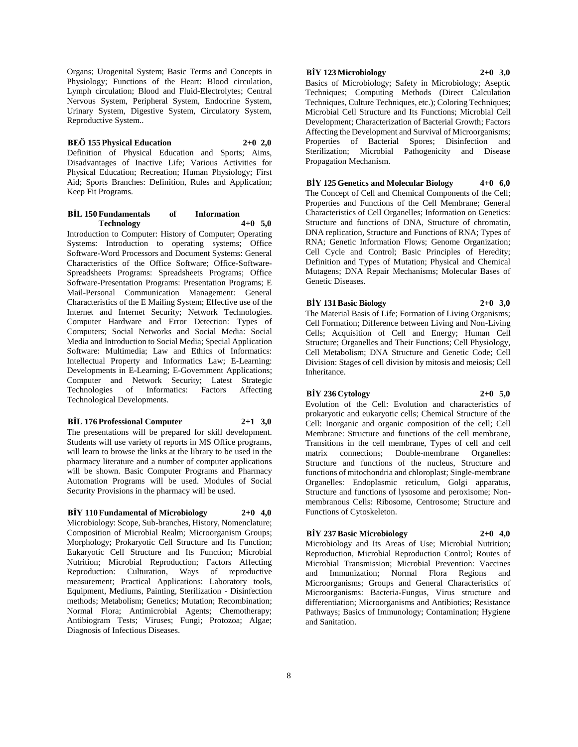Organs; Urogenital System; Basic Terms and Concepts in Physiology; Functions of the Heart: Blood circulation, Lymph circulation; Blood and Fluid-Electrolytes; Central Nervous System, Peripheral System, Endocrine System, Urinary System, Digestive System, Circulatory System, Reproductive System..

#### **BEÖ 155 Physical Education 2+0 2,0**

Definition of Physical Education and Sports; Aims, Disadvantages of Inactive Life; Various Activities for Physical Education; Recreation; Human Physiology; First Aid; Sports Branches: Definition, Rules and Application; Keep Fit Programs.

#### **BİL 150 Fundamentals of Information Technology 4+0 5,0**

Introduction to Computer: History of Computer; Operating Systems: Introduction to operating systems; Office Software-Word Processors and Document Systems: General Characteristics of the Office Software; Office-Software-Spreadsheets Programs: Spreadsheets Programs; Office Software-Presentation Programs: Presentation Programs; E Mail-Personal Communication Management: General Characteristics of the E Mailing System; Effective use of the Internet and Internet Security; Network Technologies. Computer Hardware and Error Detection: Types of Computers; Social Networks and Social Media: Social Media and Introduction to Social Media; Special Application Software: Multimedia; Law and Ethics of Informatics: Intellectual Property and Informatics Law; E-Learning: Developments in E-Learning; E-Government Applications; Computer and Network Security; Latest Strategic<br>Technologies of Informatics: Factors Affecting Technologies of Informatics: Factors Technological Developments.

#### **BİL 176 Professional Computer 2+1 3,0**

The presentations will be prepared for skill development. Students will use variety of reports in MS Office programs, will learn to browse the links at the library to be used in the pharmacy literature and a number of computer applications will be shown. Basic Computer Programs and Pharmacy Automation Programs will be used. Modules of Social Security Provisions in the pharmacy will be used.

### **BİY 110 Fundamental of Microbiology 2+0 4,0**

Microbiology: Scope, Sub-branches, History, Nomenclature; Composition of Microbial Realm; Microorganism Groups; Morphology; Prokaryotic Cell Structure and Its Function; Eukaryotic Cell Structure and Its Function; Microbial Nutrition; Microbial Reproduction; Factors Affecting Reproduction: Culturation, Ways of reproductive measurement; Practical Applications: Laboratory tools, Equipment, Mediums, Painting, Sterilization - Disinfection methods; Metabolism; Genetics; Mutation; Recombination; Normal Flora; Antimicrobial Agents; Chemotherapy; Antibiogram Tests; Viruses; Fungi; Protozoa; Algae; Diagnosis of Infectious Diseases.

### **BİY 123 Microbiology 2+0 3,0**

Basics of Microbiology; Safety in Microbiology; Aseptic Techniques; Computing Methods (Direct Calculation Techniques, Culture Techniques, etc.); Coloring Techniques; Microbial Cell Structure and Its Functions; Microbial Cell Development; Characterization of Bacterial Growth; Factors Affecting the Development and Survival of Microorganisms; Properties of Bacterial Spores; Disinfection and Sterilization; Microbial Pathogenicity and Disease Propagation Mechanism.

# **BİY 125 Genetics and Molecular Biology 4+0 6,0**

The Concept of Cell and Chemical Components of the Cell; Properties and Functions of the Cell Membrane; General Characteristics of Cell Organelles; Information on Genetics: Structure and functions of DNA, Structure of chromatin, DNA replication, Structure and Functions of RNA; Types of RNA; Genetic Information Flows; Genome Organization; Cell Cycle and Control; Basic Principles of Heredity; Definition and Types of Mutation; Physical and Chemical Mutagens; DNA Repair Mechanisms; Molecular Bases of Genetic Diseases.

**BİY 131 Basic Biology 2+0 3,0**

The Material Basis of Life; Formation of Living Organisms; Cell Formation; Difference between Living and Non-Living Cells; Acquisition of Cell and Energy; Human Cell Structure; Organelles and Their Functions; Cell Physiology, Cell Metabolism; DNA Structure and Genetic Code; Cell Division: Stages of cell division by mitosis and meiosis; Cell Inheritance.

#### **BİY 236 Cytology 2+0 5,0**

Evolution of the Cell: Evolution and characteristics of prokaryotic and eukaryotic cells; Chemical Structure of the Cell: Inorganic and organic composition of the cell; Cell Membrane: Structure and functions of the cell membrane, Transitions in the cell membrane, Types of cell and cell matrix connections; Double-membrane Organelles: Structure and functions of the nucleus, Structure and functions of mitochondria and chloroplast; Single-membrane Organelles: Endoplasmic reticulum, Golgi apparatus, Structure and functions of lysosome and peroxisome; Nonmembranous Cells: Ribosome, Centrosome; Structure and Functions of Cytoskeleton.

#### **BİY 237 Basic Microbiology 2+0 4,0**

Microbiology and Its Areas of Use; Microbial Nutrition; Reproduction, Microbial Reproduction Control; Routes of Microbial Transmission; Microbial Prevention: Vaccines and Immunization; Normal Flora Regions and Microorganisms; Groups and General Characteristics of Microorganisms: Bacteria-Fungus, Virus structure and differentiation; Microorganisms and Antibiotics; Resistance Pathways; Basics of Immunology; Contamination; Hygiene and Sanitation.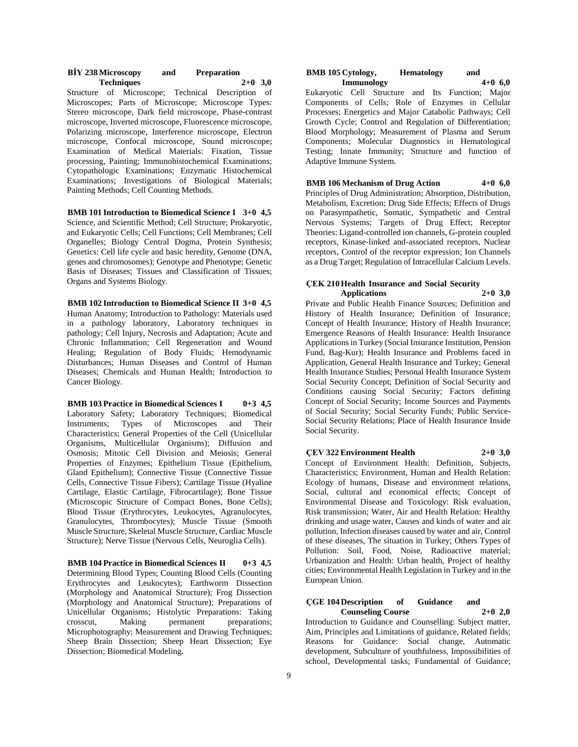| <b>BIY 238 Microscopy</b> | and | <b>Preparation</b> |  |
|---------------------------|-----|--------------------|--|
| <b>Techniques</b>         |     | $2+0$ 3,0          |  |

Structure of Microscope; Technical Description of Microscopes; Parts of Microscope; Microscope Types: Stereo microscope, Dark field microscope, Phase-contrast microscope, Inverted microscope, Fluorescence microscope, Polarizing microscope, Interference microscope, Electron microscope, Confocal microscope, Sound microscope; Examination of Medical Materials: Fixation, Tissue processing, Painting; Immunohistochemical Examinations; Cytopathologic Examinations; Enzymatic Histochemical Examinations; Investigations of Biological Materials; Painting Methods; Cell Counting Methods.

**BMB 101 Introduction to Biomedical Science I 3+0 4,5** Science, and Scientific Method; Cell Structure; Prokaryotic, and Eukaryotic Cells; Cell Functions; Cell Membranes; Cell Organelles; Biology Central Dogma, Protein Synthesis; Genetics: Cell life cycle and basic heredity, Genome (DNA, genes and chromosomes); Genotype and Phenotype; Genetic Basis of Diseases; Tissues and Classification of Tissues; Organs and Systems Biology.

**BMB 102 Introduction to Biomedical Science II 3+0 4,5** Human Anatomy; Introduction to Pathology: Materials used in a pathology laboratory, Laboratory techniques in pathology; Cell Injury, Necrosis and Adaptation; Acute and Chronic Inflammation; Cell Regeneration and Wound Healing; Regulation of Body Fluids; Hemodynamic Disturbances; Human Diseases and Control of Human Diseases; Chemicals and Human Health; Introduction to Cancer Biology.

**BMB 103 Practice in Biomedical Sciences I 0+3 4,5** Laboratory Safety; Laboratory Techniques; Biomedical Instruments; Types of Microscopes and Their Characteristics; General Properties of the Cell (Unicellular Organisms, Multicellular Organisms); Diffusion and Osmosis; Mitotic Cell Division and Meiosis; General Properties of Enzymes; Epithelium Tissue (Epithelium, Gland Epithelium); Connective Tissue (Connective Tissue Cells, Connective Tissue Fibers); Cartilage Tissue (Hyaline Cartilage, Elastic Cartilage, Fibrocartilage); Bone Tissue (Microscopic Structure of Compact Bones, Bone Cells); Blood Tissue (Erythrocytes, Leukocytes, Agranulocytes, Granulocytes, Thrombocytes); Muscle Tissue (Smooth Muscle Structure, Skeletal Muscle Structure, Cardiac Muscle Structure); Nerve Tissue (Nervous Cells, Neuroglia Cells).

**BMB 104 Practice in Biomedical Sciences II 0+3 4,5** Determining Blood Types; Counting Blood Cells (Counting Erythrocytes and Leukocytes); Earthworm Dissection (Morphology and Anatomical Structure); Frog Dissection (Morphology and Anatomical Structure); Preparations of Unicellular Organisms; Histolytic Preparations: Taking crosscut, Making permanent preparations; Microphotography; Measurement and Drawing Techniques; Sheep Brain Dissection; Sheep Heart Dissection; Eye Dissection; Biomedical Modeling.

#### **BMB 105 Cytology, Hematology** and **Immunology**  $4+0$  **6.0 Immunology 4+0 6,0**

Eukaryotic Cell Structure and Its Function; Major Components of Cells; Role of Enzymes in Cellular Processes; Energetics and Major Catabolic Pathways; Cell Growth Cycle; Control and Regulation of Differentiation; Blood Morphology; Measurement of Plasma and Serum Components; Molecular Diagnostics in Hematological Testing; Innate Immunity; Structure and function of Adaptive Immune System.

#### **BMB 106 Mechanism of Drug Action 4+0 6,0**

Principles of Drug Administration; Absorption, Distribution, Metabolism, Excretion; Drug Side Effects; Effects of Drugs on Parasympathetic, Somatic, Sympathetic and Central Nervous Systems; Targets of Drug Effect; Receptor Theories: Ligand-controlled ion channels, G-protein coupled receptors, Kinase-linked and-associated receptors, Nuclear receptors, Control of the receptor expression; Ion Channels as a Drug Target; Regulation of Intracellular Calcium Levels.

## **ÇEK 210 Health Insurance and Social Security**

**Applications 2+0 3,0** Private and Public Health Finance Sources; Definition and History of Health Insurance; Definition of Insurance; Concept of Health Insurance; History of Health Insurance; Emergence Reasons of Health Insurance: Health Insurance Applications in Turkey (Social Insurance Institution, Pension Fund, Bag-Kur); Health Insurance and Problems faced in Application, General Health Insurance and Turkey; General Health Insurance Studies; Personal Health Insurance System Social Security Concept; Definition of Social Security and Conditions causing Social Security; Factors defining Concept of Social Security; Income Sources and Payments of Social Security; Social Security Funds; Public Service-Social Security Relations; Place of Health Insurance Inside Social Security.

#### **ÇEV 322 Environment Health 2+0 3,0**

Concept of Environment Health: Definition, Subjects, Characteristics; Environment, Human and Health Relation: Ecology of humans, Disease and environment relations, Social, cultural and economical effects; Concept of Environmental Disease and Toxicology: Risk evaluation, Risk transmission; Water, Air and Health Relation: Healthy drinking and usage water, Causes and kinds of water and air pollution, Infection diseases caused by water and air, Control of these diseases, The situation in Turkey; Others Types of Pollution: Soil, Food, Noise, Radioactive material; Urbanization and Health: Urban health, Project of healthy cities; Environmental Health Legislation in Turkey and in the European Union.

#### **ÇGE 104 Description of Guidance and Counseling Course 2+0 2,0**

Introduction to Guidance and Counselling: Subject matter, Aim, Principles and Limitations of guidance, Related fields; Reasons for Guidance: Social change, Automatic development, Subculture of youthfulness, Impossibilities of school, Developmental tasks; Fundamental of Guidance;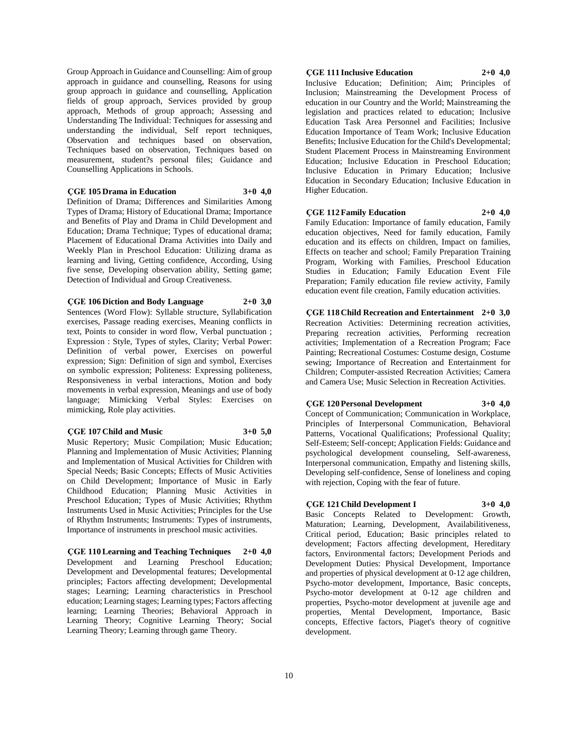Group Approach in Guidance and Counselling: Aim of group approach in guidance and counselling, Reasons for using group approach in guidance and counselling, Application fields of group approach, Services provided by group approach, Methods of group approach; Assessing and Understanding The Individual: Techniques for assessing and understanding the individual, Self report techniques, Observation and techniques based on observation, Techniques based on observation, Techniques based on measurement, student?s personal files; Guidance and Counselling Applications in Schools.

#### **ÇGE 105 Drama in Education 3+0 4,0**

Definition of Drama; Differences and Similarities Among Types of Drama; History of Educational Drama; Importance and Benefits of Play and Drama in Child Development and Education; Drama Technique; Types of educational drama; Placement of Educational Drama Activities into Daily and Weekly Plan in Preschool Education: Utilizing drama as learning and living, Getting confidence, According, Using five sense, Developing observation ability, Setting game; Detection of Individual and Group Creativeness.

### **ÇGE 106 Diction and Body Language 2+0 3,0**

Sentences (Word Flow): Syllable structure, Syllabification exercises, Passage reading exercises, Meaning conflicts in text, Points to consider in word flow, Verbal punctuation ; Expression : Style, Types of styles, Clarity; Verbal Power: Definition of verbal power, Exercises on powerful expression; Sign: Definition of sign and symbol, Exercises on symbolic expression; Politeness: Expressing politeness, Responsiveness in verbal interactions, Motion and body movements in verbal expression, Meanings and use of body language; Mimicking Verbal Styles: Exercises on mimicking, Role play activities.

#### **ÇGE 107 Child and Music 3+0 5,0**

Music Repertory; Music Compilation; Music Education; Planning and Implementation of Music Activities; Planning and Implementation of Musical Activities for Children with Special Needs; Basic Concepts; Effects of Music Activities on Child Development; Importance of Music in Early Childhood Education; Planning Music Activities in Preschool Education; Types of Music Activities; Rhythm Instruments Used in Music Activities; Principles for the Use of Rhythm Instruments; Instruments: Types of instruments, Importance of instruments in preschool music activities.

**ÇGE 110 Learning and Teaching Techniques 2+0 4,0** Development and Learning Preschool Education; Development and Developmental features; Developmental principles; Factors affecting development; Developmental stages; Learning; Learning characteristics in Preschool education; Learning stages; Learning types; Factors affecting learning; Learning Theories; Behavioral Approach in Learning Theory; Cognitive Learning Theory; Social Learning Theory; Learning through game Theory.

### **ÇGE 111 Inclusive Education 2+0 4,0**

Inclusive Education; Definition; Aim; Principles of Inclusion; Mainstreaming the Development Process of education in our Country and the World; Mainstreaming the legislation and practices related to education; Inclusive Education Task Area Personnel and Facilities; Inclusive Education Importance of Team Work; Inclusive Education Benefits; Inclusive Education for the Child's Developmental; Student Placement Process in Mainstreaming Environment Education; Inclusive Education in Preschool Education; Inclusive Education in Primary Education; Inclusive Education in Secondary Education; Inclusive Education in Higher Education.

### **ÇGE 112 Family Education 2+0 4,0**

Family Education: Importance of family education, Family education objectives, Need for family education, Family education and its effects on children, Impact on families, Effects on teacher and school; Family Preparation Training Program, Working with Families, Preschool Education Studies in Education; Family Education Event File Preparation; Family education file review activity, Family education event file creation, Family education activities.

**ÇGE 118 Child Recreation and Entertainment 2+0 3,0** Recreation Activities: Determining recreation activities, Preparing recreation activities, Performing recreation activities; Implementation of a Recreation Program; Face Painting; Recreational Costumes: Costume design, Costume sewing; Importance of Recreation and Entertainment for Children; Computer-assisted Recreation Activities; Camera and Camera Use; Music Selection in Recreation Activities.

### **ÇGE 120 Personal Development 3+0 4,0**

Concept of Communication; Communication in Workplace, Principles of Interpersonal Communication, Behavioral Patterns, Vocational Qualifications; Professional Quality; Self-Esteem; Self-concept; Application Fields: Guidance and psychological development counseling, Self-awareness, Interpersonal communication, Empathy and listening skills, Developing self-confidence, Sense of loneliness and coping with rejection, Coping with the fear of future.

### **ÇGE 121 Child Development I 3+0 4,0**

Basic Concepts Related to Development: Growth, Maturation; Learning, Development, Availabilitiveness, Critical period, Education; Basic principles related to development; Factors affecting development, Hereditary factors, Environmental factors; Development Periods and Development Duties: Physical Development, Importance and properties of physical development at 0-12 age children, Psycho-motor development, Importance, Basic concepts, Psycho-motor development at 0-12 age children and properties, Psycho-motor development at juvenile age and properties, Mental Development, Importance, Basic concepts, Effective factors, Piaget's theory of cognitive development.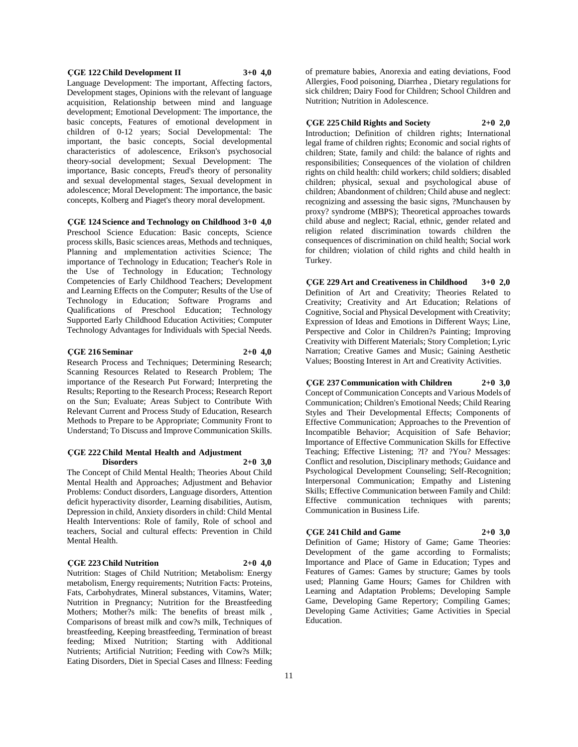#### **ÇGE 122 Child Development II 3+0 4,0**

Language Development: The important, Affecting factors, Development stages, Opinions with the relevant of language acquisition, Relationship between mind and language development; Emotional Development: The importance, the basic concepts, Features of emotional development in children of 0-12 years; Social Developmental: The important, the basic concepts, Social developmental characteristics of adolescence, Erikson's psychosocial theory-social development; Sexual Development: The importance, Basic concepts, Freud's theory of personality and sexual developmental stages, Sexual development in adolescence; Moral Development: The importance, the basic concepts, Kolberg and Piaget's theory moral development.

#### **ÇGE 124 Science and Technology on Childhood 3+0 4,0**

Preschool Science Education: Basic concepts, Science process skills, Basic sciences areas, Methods and techniques, Planning and ımplementation activities Science; The importance of Technology in Education; Teacher's Role in the Use of Technology in Education; Technology Competencies of Early Childhood Teachers; Development and Learning Effects on the Computer; Results of the Use of Technology in Education; Software Programs and Qualifications of Preschool Education; Technology Supported Early Childhood Education Activities; Computer Technology Advantages for Individuals with Special Needs.

#### **ÇGE 216 Seminar 2+0 4,0**

Research Process and Techniques; Determining Research; Scanning Resources Related to Research Problem; The importance of the Research Put Forward; Interpreting the Results; Reporting to the Research Process; Research Report on the Sun; Evaluate; Areas Subject to Contribute With Relevant Current and Process Study of Education, Research Methods to Prepare to be Appropriate; Community Front to Understand; To Discuss and Improve Communication Skills.

#### **ÇGE 222 Child Mental Health and Adjustment Disorders 2+0 3,0**

The Concept of Child Mental Health; Theories About Child Mental Health and Approaches; Adjustment and Behavior Problems: Conduct disorders, Language disorders, Attention deficit hyperactivity disorder, Learning disabilities, Autism, Depression in child, Anxiety disorders in child: Child Mental Health Interventions: Role of family, Role of school and teachers, Social and cultural effects: Prevention in Child Mental Health.

#### **ÇGE 223 Child Nutrition 2+0 4,0**

Nutrition: Stages of Child Nutrition; Metabolism: Energy metabolism, Energy requirements; Nutrition Facts: Proteins, Fats, Carbohydrates, Mineral substances, Vitamins, Water; Nutrition in Pregnancy; Nutrition for the Breastfeeding Mothers; Mother?s milk: The benefits of breast milk , Comparisons of breast milk and cow?s milk, Techniques of breastfeeding, Keeping breastfeeding, Termination of breast feeding; Mixed Nutrition; Starting with Additional Nutrients; Artificial Nutrition; Feeding with Cow?s Milk; Eating Disorders, Diet in Special Cases and Illness: Feeding

of premature babies, Anorexia and eating deviations, Food Allergies, Food poisoning, Diarrhea , Dietary regulations for sick children; Dairy Food for Children; School Children and Nutrition; Nutrition in Adolescence.

### **ÇGE 225 Child Rights and Society 2+0 2,0**

Introduction; Definition of children rights; International legal frame of children rights; Economic and social rights of children; State, family and child: the balance of rights and responsibilities; Consequences of the violation of children rights on child health: child workers; child soldiers; disabled children; physical, sexual and psychological abuse of children; Abandonment of children; Child abuse and neglect: recognizing and assessing the basic signs, ?Munchausen by proxy? syndrome (MBPS); Theoretical approaches towards child abuse and neglect; Racial, ethnic, gender related and religion related discrimination towards children the consequences of discrimination on child health; Social work for children; violation of child rights and child health in Turkey.

**ÇGE 229 Art and Creativeness in Childhood 3+0 2,0** Definition of Art and Creativity; Theories Related to Creativity; Creativity and Art Education; Relations of Cognitive, Social and Physical Development with Creativity; Expression of Ideas and Emotions in Different Ways; Line, Perspective and Color in Children?s Painting; Improving Creativity with Different Materials; Story Completion; Lyric Narration; Creative Games and Music; Gaining Aesthetic Values; Boosting Interest in Art and Creativity Activities.

#### **ÇGE 237 Communication with Children 2+0 3,0**

Concept of Communication Concepts and Various Models of Communication; Children's Emotional Needs; Child Rearing Styles and Their Developmental Effects; Components of Effective Communication; Approaches to the Prevention of Incompatible Behavior; Acquisition of Safe Behavior; Importance of Effective Communication Skills for Effective Teaching; Effective Listening; ?I? and ?You? Messages: Conflict and resolution, Disciplinary methods; Guidance and Psychological Development Counseling; Self-Recognition; Interpersonal Communication; Empathy and Listening Skills; Effective Communication between Family and Child: Effective communication techniques with parents; Communication in Business Life.

#### **ÇGE 241 Child and Game 2+0 3,0**

Definition of Game; History of Game; Game Theories: Development of the game according to Formalists; Importance and Place of Game in Education; Types and Features of Games: Games by structure; Games by tools used; Planning Game Hours; Games for Children with Learning and Adaptation Problems; Developing Sample Game, Developing Game Repertory; Compiling Games; Developing Game Activities; Game Activities in Special Education.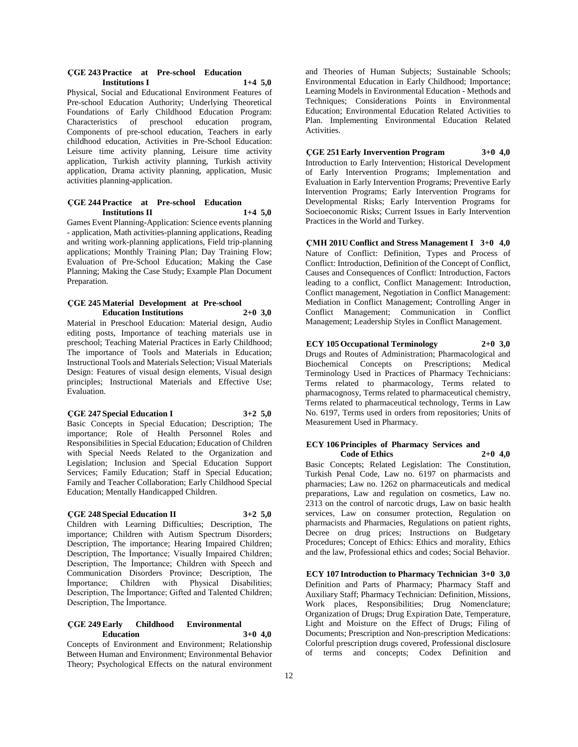#### **ÇGE 243 Practice at Pre-school Education Institutions I 1+4 5,0**

Physical, Social and Educational Environment Features of Pre-school Education Authority; Underlying Theoretical Foundations of Early Childhood Education Program: Characteristics of preschool education program, Components of pre-school education, Teachers in early childhood education, Activities in Pre-School Education: Leisure time activity planning, Leisure time activity application, Turkish activity planning, Turkish activity application, Drama activity planning, application, Music activities planning-application.

#### **ÇGE 244 Practice at Pre-school Education Institutions II 1+4 5,0**

Games Event Planning-Application: Science events planning - application, Math activities-planning applications, Reading and writing work-planning applications, Field trip-planning applications; Monthly Training Plan; Day Training Flow; Evaluation of Pre-School Education; Making the Case Planning; Making the Case Study; Example Plan Document Preparation.

#### **ÇGE 245 Material Development at Pre-school Education Institutions 2+0 3,0**

Material in Preschool Education: Material design, Audio editing posts, Importance of teaching materials use in preschool; Teaching Material Practices in Early Childhood; The importance of Tools and Materials in Education; Instructional Tools and Materials Selection; Visual Materials Design: Features of visual design elements, Visual design principles; Instructional Materials and Effective Use; Evaluation.

#### **ÇGE 247 Special Education I 3+2 5,0**

Basic Concepts in Special Education; Description; The importance; Role of Health Personnel Roles and Responsibilities in Special Education; Education of Children with Special Needs Related to the Organization and Legislation; Inclusion and Special Education Support Services; Family Education; Staff in Special Education; Family and Teacher Collaboration; Early Childhood Special Education; Mentally Handicapped Children.

### **ÇGE 248 Special Education II 3+2 5,0**

Children with Learning Difficulties; Description, The importance; Children with Autism Spectrum Disorders; Description, The importance; Hearing Impaired Children; Description, The İmportance; Visually Impaired Children; Description, The İmportance; Children with Speech and Communication Disorders Province; Description, The İmportance; Children with Physical Disabilities; Description, The İmportance; Gifted and Talented Children; Description, The İmportance.

#### **ÇGE 249 Early Childhood Environmental Education 3+0 4,0**

Concepts of Environment and Environment; Relationship Between Human and Environment; Environmental Behavior Theory; Psychological Effects on the natural environment

and Theories of Human Subjects; Sustainable Schools; Environmental Education in Early Childhood; Importance; Learning Models in Environmental Education - Methods and Techniques; Considerations Points in Environmental Education; Environmental Education Related Activities to Plan. Implementing Environmental Education Related Activities.

### **ÇGE 251 Early Invervention Program 3+0 4,0**

Introduction to Early Intervention; Historical Development of Early Intervention Programs; Implementation and Evaluation in Early Intervention Programs; Preventive Early Intervention Programs; Early Intervention Programs for Developmental Risks; Early Intervention Programs for Socioeconomic Risks; Current Issues in Early Intervention Practices in the World and Turkey.

**ÇMH 201U Conflict and Stress Management I 3+0 4,0** Nature of Conflict: Definition, Types and Process of Conflict: Introduction, Definition of the Concept of Conflict, Causes and Consequences of Conflict: Introduction, Factors leading to a conflict, Conflict Management: Introduction, Conflict management, Negotiation in Conflict Management: Mediation in Conflict Management; Controlling Anger in Conflict Management; Communication in Conflict Management; Leadership Styles in Conflict Management.

### **ECY 105 Occupational Terminology 2+0 3,0**

Drugs and Routes of Administration; Pharmacological and Biochemical Concepts on Prescriptions; Medical Terminology Used in Practices of Pharmacy Technicians: Terms related to pharmacology, Terms related to pharmacognosy, Terms related to pharmaceutical chemistry, Terms related to pharmaceutical technology, Terms in Law No. 6197, Terms used in orders from repositories; Units of Measurement Used in Pharmacy.

#### **ECY 106 Principles of Pharmacy Services and Code of Ethics 2+0 4,0**

Basic Concepts; Related Legislation: The Constitution, Turkish Penal Code, Law no. 6197 on pharmacists and pharmacies; Law no. 1262 on pharmaceuticals and medical preparations, Law and regulation on cosmetics, Law no. 2313 on the control of narcotic drugs, Law on basic health services, Law on consumer protection, Regulation on pharmacists and Pharmacies, Regulations on patient rights, Decree on drug prices; Instructions on Budgetary Procedures; Concept of Ethics: Ethics and morality, Ethics and the law, Professional ethics and codes; Social Behavior.

**ECY 107 Introduction to Pharmacy Technician 3+0 3,0** Definition and Parts of Pharmacy; Pharmacy Staff and Auxiliary Staff; Pharmacy Technician: Definition, Missions, Work places, Responsibilities; Drug Nomenclature; Organization of Drugs; Drug Expiration Date, Temperature, Light and Moisture on the Effect of Drugs; Filing of Documents; Prescription and Non-prescription Medications: Colorful prescription drugs covered, Professional disclosure of terms and concepts; Codex Definition and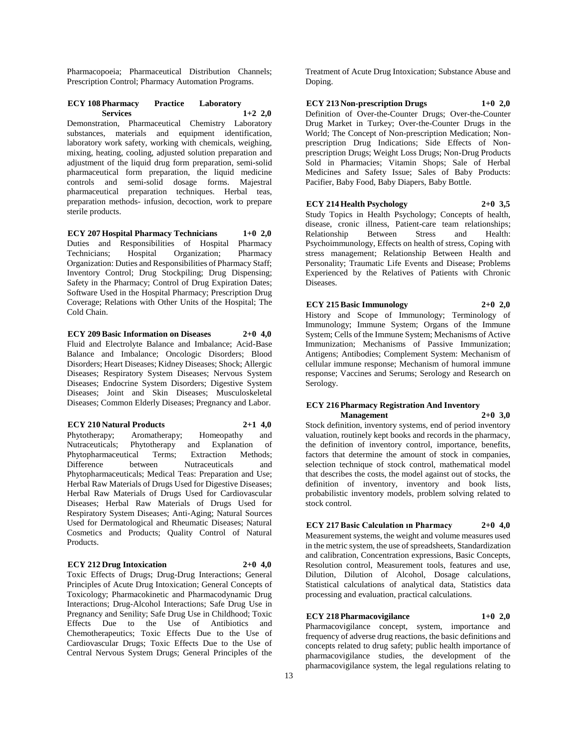Pharmacopoeia; Pharmaceutical Distribution Channels; Prescription Control; Pharmacy Automation Programs.

### **ECY 108 Pharmacy Practice Laboratory Services 1+2 2,0**

Demonstration, Pharmaceutical Chemistry Laboratory substances, materials and equipment identification, laboratory work safety, working with chemicals, weighing, mixing, heating, cooling, adjusted solution preparation and adjustment of the liquid drug form preparation, semi-solid pharmaceutical form preparation, the liquid medicine controls and semi-solid dosage forms. Majestral pharmaceutical preparation techniques. Herbal teas, preparation methods- infusion, decoction, work to prepare sterile products.

**ECY 207 Hospital Pharmacy Technicians 1+0 2,0** Duties and Responsibilities of Hospital Pharmacy Technicians; Hospital Organization; Pharmacy Organization: Duties and Responsibilities of Pharmacy Staff; Inventory Control; Drug Stockpiling; Drug Dispensing; Safety in the Pharmacy; Control of Drug Expiration Dates; Software Used in the Hospital Pharmacy; Prescription Drug Coverage; Relations with Other Units of the Hospital; The Cold Chain.

**ECY 209 Basic Information on Diseases 2+0 4,0** Fluid and Electrolyte Balance and Imbalance; Acid-Base Balance and Imbalance; Oncologic Disorders; Blood Disorders; Heart Diseases; Kidney Diseases; Shock; Allergic Diseases; Respiratory System Diseases; Nervous System Diseases; Endocrine System Disorders; Digestive System Diseases; Joint and Skin Diseases; Musculoskeletal Diseases; Common Elderly Diseases; Pregnancy and Labor.

**ECY 210 Natural Products 2+1 4,0** Phytotherapy; Aromatherapy; Homeopathy and Nutraceuticals; Phytotherapy and Explanation of<br>Phytopharmaceutical Terms; Extraction Methods; Phytopharmaceutical Terms; Extraction Difference between Nutraceuticals and Phytopharmaceuticals; Medical Teas: Preparation and Use; Herbal Raw Materials of Drugs Used for Digestive Diseases; Herbal Raw Materials of Drugs Used for Cardiovascular Diseases; Herbal Raw Materials of Drugs Used for Respiratory System Diseases; Anti-Aging; Natural Sources Used for Dermatological and Rheumatic Diseases; Natural Cosmetics and Products; Quality Control of Natural

#### **ECY 212 Drug Intoxication 2+0 4,0**

Products.

Toxic Effects of Drugs; Drug-Drug Interactions; General Principles of Acute Drug Intoxication; General Concepts of Toxicology; Pharmacokinetic and Pharmacodynamic Drug Interactions; Drug-Alcohol Interactions; Safe Drug Use in Pregnancy and Senility; Safe Drug Use in Childhood; Toxic Effects Due to the Use of Antibiotics and Chemotherapeutics; Toxic Effects Due to the Use of Cardiovascular Drugs; Toxic Effects Due to the Use of Central Nervous System Drugs; General Principles of the

Treatment of Acute Drug Intoxication; Substance Abuse and Doping.

**ECY 213 Non-prescription Drugs 1+0 2,0**

Definition of Over-the-Counter Drugs; Over-the-Counter Drug Market in Turkey; Over-the-Counter Drugs in the World; The Concept of Non-prescription Medication; Nonprescription Drug Indications; Side Effects of Nonprescription Drugs; Weight Loss Drugs; Non-Drug Products Sold in Pharmacies; Vitamin Shops; Sale of Herbal Medicines and Safety Issue; Sales of Baby Products: Pacifier, Baby Food, Baby Diapers, Baby Bottle.

#### **ECY 214 Health Psychology 2+0 3,5**

Study Topics in Health Psychology; Concepts of health, disease, cronic illness, Patient-care team relationships; Relationship Between Stress and Health: Psychoimmunology, Effects on health of stress, Coping with stress management; Relationship Between Health and Personality; Traumatic Life Events and Disease; Problems Experienced by the Relatives of Patients with Chronic Diseases.

**ECY 215 Basic Immunology 2+0 2,0** History and Scope of Immunology; Terminology of Immunology; Immune System; Organs of the Immune System; Cells of the Immune System; Mechanisms of Active Immunization; Mechanisms of Passive Immunization; Antigens; Antibodies; Complement System: Mechanism of cellular immune response; Mechanism of humoral immune response; Vaccines and Serums; Serology and Research on Serology.

#### **ECY 216 Pharmacy Registration And Inventory Management 2+0 3,0**

Stock definition, inventory systems, end of period inventory valuation, routinely kept books and records in the pharmacy, the definition of inventory control, importance, benefits, factors that determine the amount of stock in companies, selection technique of stock control, mathematical model that describes the costs, the model against out of stocks, the definition of inventory, inventory and book lists, probabilistic inventory models, problem solving related to stock control.

**ECY 217 Basic Calculation ın Pharmacy 2+0 4,0** Measurement systems, the weight and volume measures used

in the metric system, the use of spreadsheets, Standardization and calibration, Concentration expressions, Basic Concepts, Resolution control, Measurement tools, features and use, Dilution, Dilution of Alcohol, Dosage calculations, Statistical calculations of analytical data, Statistics data processing and evaluation, practical calculations.

### **ECY 218 Pharmacovigilance 1+0 2,0**

Pharmacovigilance concept, system, importance and frequency of adverse drug reactions, the basic definitions and concepts related to drug safety; public health importance of pharmacovigilance studies, the development of the pharmacovigilance system, the legal regulations relating to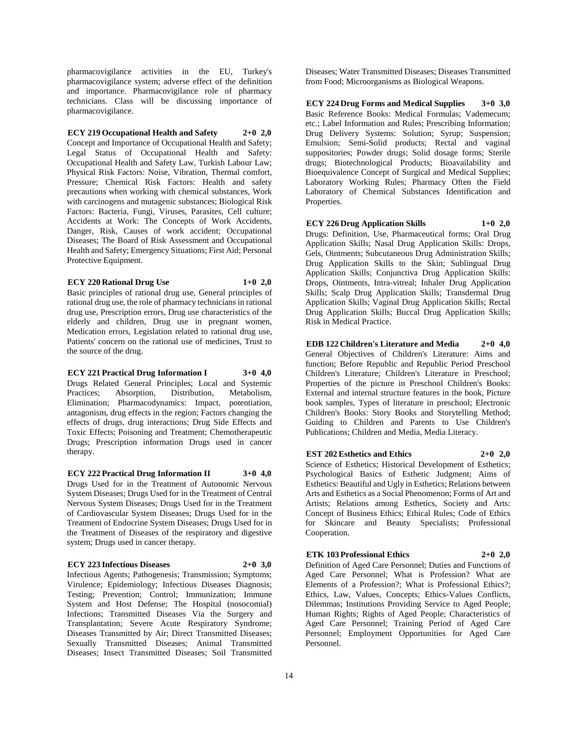pharmacovigilance activities in the EU, Turkey's pharmacovigilance system; adverse effect of the definition and importance. Pharmacovigilance role of pharmacy technicians. Class will be discussing importance of pharmacovigilance.

### **ECY 219 Occupational Health and Safety 2+0 2,0**

Concept and Importance of Occupational Health and Safety; Legal Status of Occupational Health and Safety: Occupational Health and Safety Law, Turkish Labour Law; Physical Risk Factors: Noise, Vibration, Thermal comfort, Pressure; Chemical Risk Factors: Health and safety precautions when working with chemical substances, Work with carcinogens and mutagenic substances; Biological Risk Factors: Bacteria, Fungi, Viruses, Parasites, Cell culture; Accidents at Work: The Concepts of Work Accidents, Danger, Risk, Causes of work accident; Occupational Diseases; The Board of Risk Assessment and Occupational Health and Safety; Emergency Situations; First Aid; Personal Protective Equipment.

#### **ECY 220 Rational Drug Use 1+0 2,0**

Basic principles of rational drug use, General principles of rational drug use, the role of pharmacy technicians in rational drug use, Prescription errors, Drug use characteristics of the elderly and children, Drug use in pregnant women, Medication errors, Legislation related to rational drug use, Patients' concern on the rational use of medicines, Trust to the source of the drug.

#### **ECY 221 Practical Drug Information I 3+0 4,0** Drugs Related General Principles; Local and Systemic Practices; Absorption, Distribution, Metabolism, Elimination; Pharmacodynamics: Impact, potentiation, antagonism, drug effects in the region; Factors changing the effects of drugs, drug interactions; Drug Side Effects and Toxic Effects; Poisoning and Treatment; Chemotherapeutic Drugs; Prescription information Drugs used in cancer

**ECY 222 Practical Drug Information II 3+0 4,0** Drugs Used for in the Treatment of Autonomic Nervous System Diseases; Drugs Used for in the Treatment of Central Nervous System Diseases; Drugs Used for in the Treatment of Cardiovascular System Diseases; Drugs Used for in the Treatment of Endocrine System Diseases; Drugs Used for in the Treatment of Diseases of the respiratory and digestive system; Drugs used in cancer therapy.

#### **ECY 223 Infectious Diseases 2+0 3,0**

therapy.

Infectious Agents; Pathogenesis; Transmission; Symptoms; Virulence; Epidemiology; Infectious Diseases Diagnosis; Testing; Prevention; Control; Immunization; Immune System and Host Defense; The Hospital (nosocomial) Infections; Transmitted Diseases Via the Surgery and Transplantation; Severe Acute Respiratory Syndrome; Diseases Transmitted by Air; Direct Transmitted Diseases; Sexually Transmitted Diseases; Animal Transmitted Diseases; Insect Transmitted Diseases; Soil Transmitted

Diseases; Water Transmitted Diseases; Diseases Transmitted from Food; Microorganisms as Biological Weapons.

**ECY 224 Drug Forms and Medical Supplies 3+0 3,0** Basic Reference Books: Medical Formulas; Vademecum; etc.; Label Information and Rules; Prescribing Information; Drug Delivery Systems: Solution; Syrup; Suspension; Emulsion; Semi-Solid products; Rectal and vaginal suppositories; Powder drugs; Solid dosage forms; Sterile drugs; Biotechnological Products; Bioavailability and Bioequivalence Concept of Surgical and Medical Supplies; Laboratory Working Rules; Pharmacy Often the Field Laboratory of Chemical Substances Identification and Properties.

**ECY 226 Drug Application Skills 1+0 2,0** Drugs: Definition, Use, Pharmaceutical forms; Oral Drug Application Skills; Nasal Drug Application Skills: Drops, Gels, Ointments; Subcutaneous Drug Administration Skills; Drug Application Skills to the Skin; Sublingual Drug Application Skills; Conjunctiva Drug Application Skills: Drops, Ointments, Intra-vitreal; Inhaler Drug Application Skills; Scalp Drug Application Skills; Transdermal Drug Application Skills; Vaginal Drug Application Skills; Rectal Drug Application Skills; Buccal Drug Application Skills; Risk in Medical Practice.

**EDB 122 Children's Literature and Media 2+0 4,0** General Objectives of Children's Literature: Aims and function; Before Republic and Republic Period Preschool Children's Literature; Children's Literature in Preschool; Properties of the picture in Preschool Children's Books: External and internal structure features in the book, Picture book samples, Types of literature in preschool; Electronic Children's Books: Story Books and Storytelling Method; Guiding to Children and Parents to Use Children's Publications; Children and Media, Media Literacy.

#### **EST 202 Esthetics and Ethics 2+0 2,0**

Science of Esthetics; Historical Development of Esthetics; Psychological Basics of Esthetic Judgment; Aims of Esthetics: Beautiful and Ugly in Esthetics; Relations between Arts and Esthetics as a Social Phenomenon; Forms of Art and Artists; Relations among Esthetics, Society and Arts: Concept of Business Ethics; Ethical Rules; Code of Ethics for Skincare and Beauty Specialists; Professional Cooperation.

#### **ETK 103 Professional Ethics 2+0 2,0**

Definition of Aged Care Personnel; Duties and Functions of Aged Care Personnel; What is Profession? What are Elements of a Profession?; What is Professional Ethics?; Ethics, Law, Values, Concepts; Ethics-Values Conflicts, Dilemmas; Institutions Providing Service to Aged People; Human Rights; Rights of Aged People; Characteristics of Aged Care Personnel; Training Period of Aged Care Personnel; Employment Opportunities for Aged Care Personnel.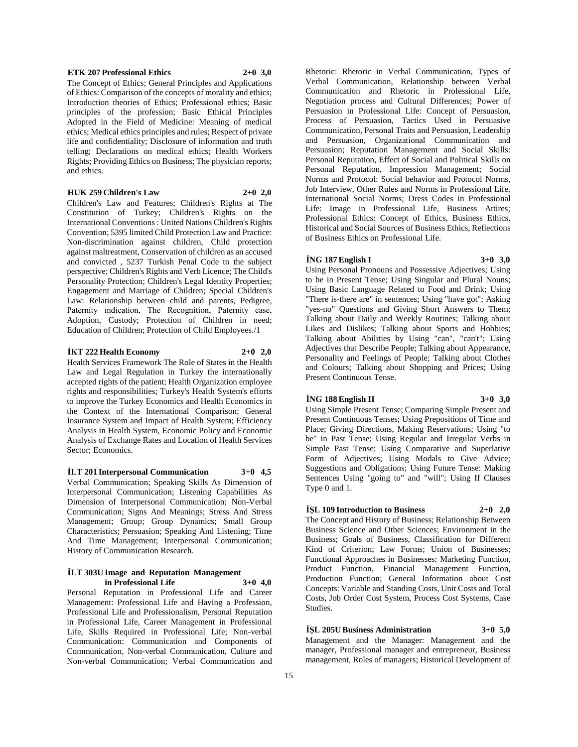#### **ETK 207 Professional Ethics 2+0 3,0**

The Concept of Ethics; General Principles and Applications of Ethics: Comparison of the concepts of morality and ethics; Introduction theories of Ethics; Professional ethics; Basic principles of the profession; Basic Ethical Principles Adopted in the Field of Medicine: Meaning of medical ethics; Medical ethics principles and rules; Respect of private life and confidentiality; Disclosure of information and truth telling; Declarations on medical ethics; Health Workers Rights; Providing Ethics on Business; The physician reports; and ethics.

**HUK 259 Children's Law 2+0 2,0**

Children's Law and Features; Children's Rights at The Constitution of Turkey; Children's Rights on the International Conventions : United Nations Children's Rights Convention; 5395 limited Child Protection Law and Practice: Non-discrimination against children, Child protection against maltreatment, Conservation of children as an accused and convicted , 5237 Turkish Penal Code to the subject perspective; Children's Rights and Verb Licence; The Child's Personality Protection; Children's Legal Identity Properties; Engagement and Marriage of Children; Special Children's Law: Relationship between child and parents, Pedigree, Paternity ındication, The Recognition, Paternity case, Adoption, Custody; Protection of Children in need; Education of Children; Protection of Child Employees./1

#### **İKT 222 Health Economy 2+0 2,0**

Health Services Framework The Role of States in the Health Law and Legal Regulation in Turkey the internationally accepted rights of the patient; Health Organization employee rights and responsibilities; Turkey's Health System's efforts to improve the Turkey Economics and Health Economics in the Context of the International Comparison; General Insurance System and Impact of Health System; Efficiency Analysis in Health System, Economic Policy and Economic Analysis of Exchange Rates and Location of Health Services Sector; Economics.

**İLT 201 Interpersonal Communication 3+0 4,5** Verbal Communication; Speaking Skills As Dimension of Interpersonal Communication; Listening Capabilities As Dimension of Interpersonal Communication; Non-Verbal Communication; Signs And Meanings; Stress And Stress Management; Group; Group Dynamics; Small Group Characteristics; Persuasion; Speaking And Listening; Time And Time Management; Interpersonal Communication; History of Communication Research.

#### **İLT 303U Image and Reputation Management in Professional Life 3+0 4,0**

Personal Reputation in Professional Life and Career Management: Professional Life and Having a Profession, Professional Life and Professionalism, Personal Reputation in Professional Life, Career Management in Professional Life, Skills Required in Professional Life; Non-verbal Communication: Communication and Components of Communication, Non-verbal Communication, Culture and Non-verbal Communication; Verbal Communication and

Rhetoric: Rhetoric in Verbal Communication, Types of Verbal Communication, Relationship between Verbal Communication and Rhetoric in Professional Life, Negotiation process and Cultural Differences; Power of Persuasion in Professional Life: Concept of Persuasion, Process of Persuasion, Tactics Used in Persuasive Communication, Personal Traits and Persuasion, Leadership and Persuasion, Organizational Communication and Persuasion; Reputation Management and Social Skills: Personal Reputation, Effect of Social and Political Skills on Personal Reputation, Impression Management; Social Norms and Protocol: Social behavior and Protocol Norms, Job Interview, Other Rules and Norms in Professional Life, International Social Norms; Dress Codes in Professional Life: Image in Professional Life, Business Attires; Professional Ethics: Concept of Ethics, Business Ethics, Historical and Social Sources of Business Ethics, Reflections of Business Ethics on Professional Life.

#### **İNG 187 English I 3+0 3,0**

Using Personal Pronouns and Possessive Adjectives; Using to be in Present Tense; Using Singular and Plural Nouns; Using Basic Language Related to Food and Drink; Using "There is-there are" in sentences; Using "have got"; Asking "yes-no" Questions and Giving Short Answers to Them; Talking about Daily and Weekly Routines; Talking about Likes and Dislikes; Talking about Sports and Hobbies; Talking about Abilities by Using "can", "can't"; Using Adjectives that Describe People; Talking about Appearance, Personality and Feelings of People; Talking about Clothes and Colours; Talking about Shopping and Prices; Using Present Continuous Tense.

#### **İNG 188 English II 3+0 3,0**

Using Simple Present Tense; Comparing Simple Present and Present Continuous Tenses; Using Prepositions of Time and Place; Giving Directions, Making Reservations; Using "to be" in Past Tense; Using Regular and Irregular Verbs in Simple Past Tense; Using Comparative and Superlative Form of Adjectives; Using Modals to Give Advice; Suggestions and Obligations; Using Future Tense: Making Sentences Using "going to" and "will"; Using If Clauses Type 0 and 1.

#### **İŞL 109 Introduction to Business 2+0 2,0**

The Concept and History of Business; Relationship Between Business Science and Other Sciences; Environment in the Business; Goals of Business, Classification for Different Kind of Criterion; Law Forms; Union of Businesses; Functional Approaches in Businesses: Marketing Function, Product Function, Financial Management Function, Production Function; General Information about Cost Concepts: Variable and Standing Costs, Unit Costs and Total Costs, Job Order Cost System, Process Cost Systems, Case Studies.

#### **İŞL 205U Business Administration 3+0 5,0**

Management and the Manager: Management and the manager, Professional manager and entrepreneur, Business management, Roles of managers; Historical Development of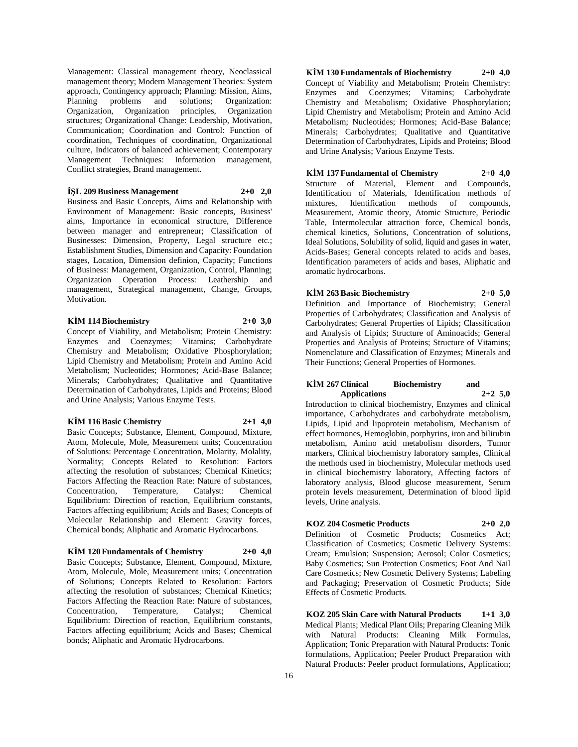Management: Classical management theory, Neoclassical management theory; Modern Management Theories: System approach, Contingency approach; Planning: Mission, Aims, Planning problems and solutions; Organization: Organization principles, Organization Organization, Organization principles, structures; Organizational Change: Leadership, Motivation, Communication; Coordination and Control: Function of coordination, Techniques of coordination, Organizational culture, Indicators of balanced achievement; Contemporary Management Techniques: Information management, Conflict strategies, Brand management.

#### **İŞL 209 Business Management 2+0 2,0**

Business and Basic Concepts, Aims and Relationship with Environment of Management: Basic concepts, Business' aims, Importance in economical structure, Difference between manager and entrepreneur; Classification of Businesses: Dimension, Property, Legal structure etc.; Establishment Studies, Dimension and Capacity: Foundation stages, Location, Dimension definion, Capacity; Functions of Business: Management, Organization, Control, Planning; Organization Operation Process: Leathership and management, Strategical management, Change, Groups, Motivation.

#### **KİM 114 Biochemistry 2+0 3,0**

Concept of Viability, and Metabolism; Protein Chemistry: Enzymes and Coenzymes; Vitamins; Carbohydrate Chemistry and Metabolism; Oxidative Phosphorylation; Lipid Chemistry and Metabolism; Protein and Amino Acid Metabolism; Nucleotides; Hormones; Acid-Base Balance; Minerals; Carbohydrates; Qualitative and Quantitative Determination of Carbohydrates, Lipids and Proteins; Blood and Urine Analysis; Various Enzyme Tests.

#### **KİM 116 Basic Chemistry 2+1 4,0**

Basic Concepts; Substance, Element, Compound, Mixture, Atom, Molecule, Mole, Measurement units; Concentration of Solutions: Percentage Concentration, Molarity, Molality, Normality; Concepts Related to Resolution: Factors affecting the resolution of substances; Chemical Kinetics; Factors Affecting the Reaction Rate: Nature of substances, Concentration, Temperature, Catalyst: Chemical Equilibrium: Direction of reaction, Equilibrium constants, Factors affecting equilibrium; Acids and Bases; Concepts of Molecular Relationship and Element: Gravity forces, Chemical bonds; Aliphatic and Aromatic Hydrocarbons.

### **KİM 120 Fundamentals of Chemistry 2+0 4,0**

Basic Concepts; Substance, Element, Compound, Mixture, Atom, Molecule, Mole, Measurement units; Concentration of Solutions; Concepts Related to Resolution: Factors affecting the resolution of substances; Chemical Kinetics; Factors Affecting the Reaction Rate: Nature of substances, Concentration, Temperature, Catalyst; Chemical Equilibrium: Direction of reaction, Equilibrium constants, Factors affecting equilibrium; Acids and Bases; Chemical bonds; Aliphatic and Aromatic Hydrocarbons.

**KİM 130 Fundamentals of Biochemistry 2+0 4,0** Concept of Viability and Metabolism; Protein Chemistry: Enzymes and Coenzymes; Vitamins; Carbohydrate Chemistry and Metabolism; Oxidative Phosphorylation; Lipid Chemistry and Metabolism; Protein and Amino Acid Metabolism; Nucleotides; Hormones; Acid-Base Balance; Minerals; Carbohydrates; Qualitative and Quantitative Determination of Carbohydrates, Lipids and Proteins; Blood and Urine Analysis; Various Enzyme Tests.

#### **KİM 137 Fundamental of Chemistry 2+0 4,0** Structure of Material, Element and Compounds, Identification of Materials, Identification methods of mixtures, Identification methods of Measurement, Atomic theory, Atomic Structure, Periodic Table, Intermolecular attraction force, Chemical bonds, chemical kinetics, Solutions, Concentration of solutions, Ideal Solutions, Solubility of solid, liquid and gases in water, Acids-Bases; General concepts related to acids and bases, Identification parameters of acids and bases, Aliphatic and aromatic hydrocarbons.

**KİM 263 Basic Biochemistry 2+0 5,0** Definition and Importance of Biochemistry; General Properties of Carbohydrates; Classification and Analysis of Carbohydrates; General Properties of Lipids; Classification and Analysis of Lipids; Structure of Aminoacids; General Properties and Analysis of Proteins; Structure of Vitamins; Nomenclature and Classification of Enzymes; Minerals and Their Functions; General Properties of Hormones.

#### **KİM 267 Clinical Biochemistry and Applications 2+2 5,0**

Introduction to clinical biochemistry, Enzymes and clinical importance, Carbohydrates and carbohydrate metabolism, Lipids, Lipid and lipoprotein metabolism, Mechanism of effect hormones, Hemoglobin, porphyrins, iron and bilirubin metabolism, Amino acid metabolism disorders, Tumor markers, Clinical biochemistry laboratory samples, Clinical the methods used in biochemistry, Molecular methods used in clinical biochemistry laboratory, Affecting factors of laboratory analysis, Blood glucose measurement, Serum protein levels measurement, Determination of blood lipid levels, Urine analysis.

### **KOZ 204 Cosmetic Products 2+0 2,0**

Definition of Cosmetic Products; Cosmetics Act; Classification of Cosmetics; Cosmetic Delivery Systems: Cream; Emulsion; Suspension; Aerosol; Color Cosmetics; Baby Cosmetics; Sun Protection Cosmetics; Foot And Nail Care Cosmetics; New Cosmetic Delivery Systems; Labeling and Packaging; Preservation of Cosmetic Products; Side Effects of Cosmetic Products.

**KOZ 205 Skin Care with Natural Products 1+1 3,0** Medical Plants; Medical Plant Oils; Preparing Cleaning Milk with Natural Products: Cleaning Milk Formulas, Application; Tonic Preparation with Natural Products: Tonic formulations, Application; Peeler Product Preparation with Natural Products: Peeler product formulations, Application;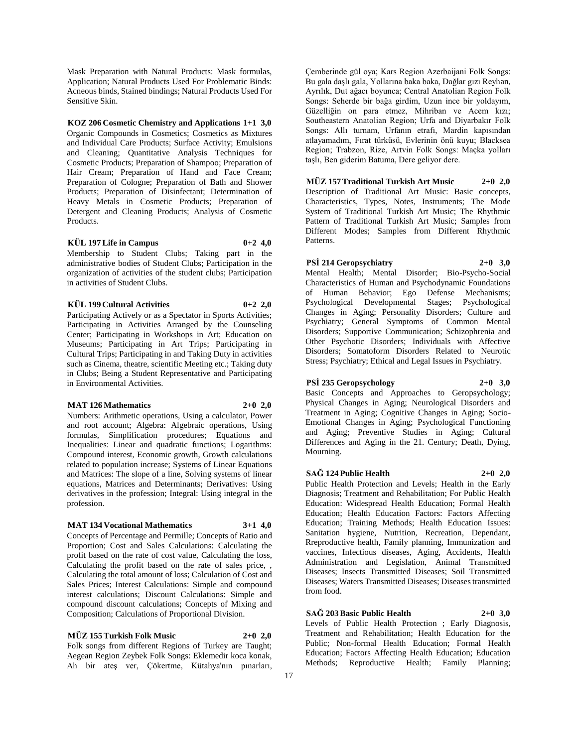Mask Preparation with Natural Products: Mask formulas, Application; Natural Products Used For Problematic Binds: Acneous binds, Stained bindings; Natural Products Used For Sensitive Skin.

#### **KOZ 206 Cosmetic Chemistry and Applications 1+1 3,0**

Organic Compounds in Cosmetics; Cosmetics as Mixtures and Individual Care Products; Surface Activity; Emulsions and Cleaning; Quantitative Analysis Techniques for Cosmetic Products; Preparation of Shampoo; Preparation of Hair Cream; Preparation of Hand and Face Cream; Preparation of Cologne; Preparation of Bath and Shower Products; Preparation of Disinfectant; Determination of Heavy Metals in Cosmetic Products; Preparation of Detergent and Cleaning Products; Analysis of Cosmetic Products.

#### **KÜL 197 Life in Campus 0+2 4,0**

Membership to Student Clubs; Taking part in the administrative bodies of Student Clubs; Participation in the organization of activities of the student clubs; Participation in activities of Student Clubs.

#### **KÜL 199 Cultural Activities 0+2 2,0**

Participating Actively or as a Spectator in Sports Activities; Participating in Activities Arranged by the Counseling Center; Participating in Workshops in Art; Education on Museums; Participating in Art Trips; Participating in Cultural Trips; Participating in and Taking Duty in activities such as Cinema, theatre, scientific Meeting etc.; Taking duty in Clubs; Being a Student Representative and Participating in Environmental Activities.

#### **MAT 126 Mathematics 2+0 2,0**

Numbers: Arithmetic operations, Using a calculator, Power and root account; Algebra: Algebraic operations, Using formulas, Simplification procedures; Equations and Inequalities: Linear and quadratic functions; Logarithms: Compound interest, Economic growth, Growth calculations related to population increase; Systems of Linear Equations and Matrices: The slope of a line, Solving systems of linear equations, Matrices and Determinants; Derivatives: Using derivatives in the profession; Integral: Using integral in the profession.

### **MAT 134 Vocational Mathematics 3+1 4,0**

Concepts of Percentage and Permille; Concepts of Ratio and Proportion; Cost and Sales Calculations: Calculating the profit based on the rate of cost value, Calculating the loss, Calculating the profit based on the rate of sales price, , Calculating the total amount of loss; Calculation of Cost and Sales Prices; Interest Calculations: Simple and compound interest calculations; Discount Calculations: Simple and compound discount calculations; Concepts of Mixing and Composition; Calculations of Proportional Division.

**MÜZ 155 Turkish Folk Music 2+0 2,0** Folk songs from different Regions of Turkey are Taught; Aegean Region Zeybek Folk Songs: Eklemedir koca konak, Ah bir ateş ver, Çökertme, Kütahya'nın pınarları,

Çemberinde gül oya; Kars Region Azerbaijani Folk Songs: Bu gala daşlı gala, Yollarına baka baka, Dağlar gızı Reyhan, Ayrılık, Dut ağacı boyunca; Central Anatolian Region Folk Songs: Seherde bir bağa girdim, Uzun ince bir yoldayım, Güzelliğin on para etmez, Mihriban ve Acem kızı; Southeastern Anatolian Region; Urfa and Diyarbakır Folk Songs: Allı turnam, Urfanın etrafı, Mardin kapısından atlayamadım, Fırat türküsü, Evlerinin önü kuyu; Blacksea Region; Trabzon, Rize, Artvin Folk Songs: Maçka yolları taşlı, Ben giderim Batuma, Dere geliyor dere.

**MÜZ 157 Traditional Turkish Art Music 2+0 2,0** Description of Traditional Art Music: Basic concepts, Characteristics, Types, Notes, Instruments; The Mode System of Traditional Turkish Art Music; The Rhythmic Pattern of Traditional Turkish Art Music; Samples from Different Modes; Samples from Different Rhythmic Patterns.

**PSİ 214 Geropsychiatry 2+0 3,0**

Mental Health; Mental Disorder; Bio-Psycho-Social Characteristics of Human and Psychodynamic Foundations of Human Behavior; Ego Defense Mechanisms; Psychological Developmental Stages; Psychological Changes in Aging; Personality Disorders; Culture and Psychiatry; General Symptoms of Common Mental Disorders; Supportive Communication; Schizophrenia and Other Psychotic Disorders; Individuals with Affective Disorders; Somatoform Disorders Related to Neurotic Stress; Psychiatry; Ethical and Legal Issues in Psychiatry.

### **PSİ 235 Geropsychology 2+0 3,0**

Basic Concepts and Approaches to Geropsychology; Physical Changes in Aging; Neurological Disorders and Treatment in Aging; Cognitive Changes in Aging; Socio-Emotional Changes in Aging; Psychological Functioning and Aging; Preventive Studies in Aging; Cultural Differences and Aging in the 21. Century; Death, Dying, Mourning.

#### **SAĞ 124 Public Health 2+0 2,0**

Public Health Protection and Levels; Health in the Early Diagnosis; Treatment and Rehabilitation; For Public Health Education: Widespread Health Education; Formal Health Education; Health Education Factors: Factors Affecting Education; Training Methods; Health Education Issues: Sanitation hygiene, Nutrition, Recreation, Dependant, Rreproductive health, Family planning, Immunization and vaccines, Infectious diseases, Aging, Accidents, Health Administration and Legislation, Animal Transmitted Diseases; Insects Transmitted Diseases; Soil Transmitted Diseases; Waters Transmitted Diseases; Diseases transmitted from food.

#### **SAĞ 203 Basic Public Health 2+0 3,0**

Levels of Public Health Protection ; Early Diagnosis, Treatment and Rehabilitation; Health Education for the Public; Non-formal Health Education; Formal Health Education; Factors Affecting Health Education; Education Methods; Reproductive Health; Family Planning;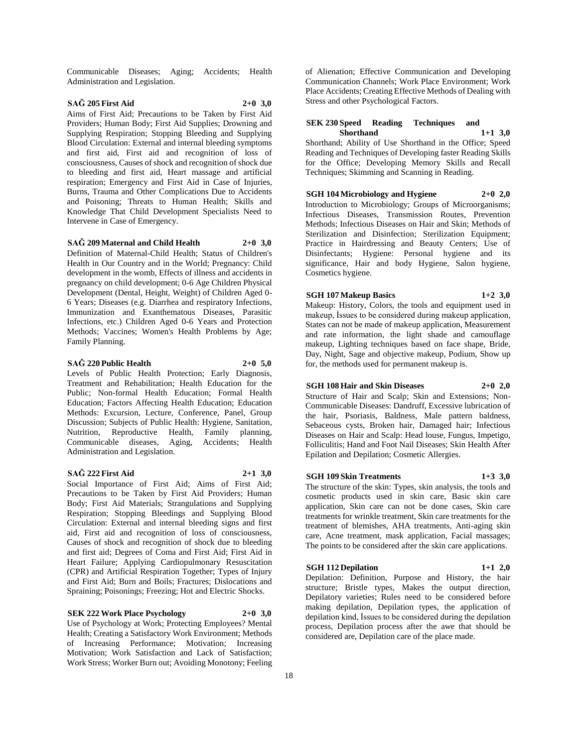Communicable Diseases; Aging; Accidents; Health Administration and Legislation.

### **SAĞ 205 First Aid 2+0 3,0**

Aims of First Aid; Precautions to be Taken by First Aid Providers; Human Body; First Aid Supplies; Drowning and Supplying Respiration; Stopping Bleeding and Supplying Blood Circulation: External and internal bleeding symptoms and first aid, First aid and recognition of loss of consciousness, Causes of shock and recognition of shock due to bleeding and first aid, Heart massage and artificial respiration; Emergency and First Aid in Case of Injuries, Burns, Trauma and Other Complications Due to Accidents and Poisoning; Threats to Human Health; Skills and Knowledge That Child Development Specialists Need to Intervene in Case of Emergency.

**SAĞ 209 Maternal and Child Health 2+0 3,0**

Definition of Maternal-Child Health; Status of Children's Health in Our Country and in the World; Pregnancy: Child development in the womb, Effects of illness and accidents in pregnancy on child development; 0-6 Age Children Physical Development (Dental, Height, Weight) of Children Aged 0- 6 Years; Diseases (e.g. Diarrhea and respiratory Infections, Immunization and Exanthematous Diseases, Parasitic Infections, etc.) Children Aged 0-6 Years and Protection Methods; Vaccines; Women's Health Problems by Age; Family Planning.

#### **SAĞ 220 Public Health 2+0 5,0**

Levels of Public Health Protection; Early Diagnosis, Treatment and Rehabilitation; Health Education for the Public; Non-formal Health Education; Formal Health Education; Factors Affecting Health Education; Education Methods: Excursion, Lecture, Conference, Panel, Group Discussion; Subjects of Public Health: Hygiene, Sanitation, Nutrition, Reproductive Health, Family planning, Communicable diseases, Aging, Accidents; Health Administration and Legislation.

#### **SAĞ 222 First Aid 2+1 3,0**

Social Importance of First Aid; Aims of First Aid; Precautions to be Taken by First Aid Providers; Human Body; First Aid Materials; Strangulations and Supplying Respiration; Stopping Bleedings and Supplying Blood Circulation: External and internal bleeding signs and first aid, First aid and recognition of loss of consciousness, Causes of shock and recognition of shock due to bleeding and first aid; Degrees of Coma and First Aid; First Aid in Heart Failure; Applying Cardiopulmonary Resuscitation (CPR) and Artificial Respiration Together; Types of Injury and First Aid; Burn and Boils; Fractures; Dislocations and Spraining; Poisonings; Freezing; Hot and Electric Shocks.

**SEK 222 Work Place Psychology 2+0 3,0**

Use of Psychology at Work; Protecting Employees? Mental Health; Creating a Satisfactory Work Environment; Methods of Increasing Performance; Motivation; Increasing Motivation; Work Satisfaction and Lack of Satisfaction; Work Stress; Worker Burn out; Avoiding Monotony; Feeling

of Alienation; Effective Communication and Developing Communication Channels; Work Place Environment; Work Place Accidents; Creating Effective Methods of Dealing with Stress and other Psychological Factors.

#### **SEK 230 Speed Reading Techniques and Shorthand 1+1 3,0**

Shorthand; Ability of Use Shorthand in the Office; Speed Reading and Techniques of Developing faster Reading Skills for the Office; Developing Memory Skills and Recall Techniques; Skimming and Scanning in Reading.

**SGH 104 Microbiology and Hygiene 2+0 2,0** Introduction to Microbiology; Groups of Microorganisms; Infectious Diseases, Transmission Routes, Prevention Methods; Infectious Diseases on Hair and Skin; Methods of Sterilization and Disinfection; Sterilization Equipment; Practice in Hairdressing and Beauty Centers; Use of Disinfectants; Hygiene: Personal hygiene and its significance, Hair and body Hygiene, Salon hygiene, Cosmetics hygiene.

#### **SGH 107 Makeup Basics 1+2 3,0**

Makeup: History, Colors, the tools and equipment used in makeup, İssues to be considered during makeup application, States can not be made of makeup application, Measurement and rate information, the light shade and camouflage makeup, Lighting techniques based on face shape, Bride, Day, Night, Sage and objective makeup, Podium, Show up for, the methods used for permanent makeup is.

#### **SGH 108 Hair and Skin Diseases 2+0 2,0**

Structure of Hair and Scalp; Skin and Extensions; Non-Communicable Diseases: Dandruff, Excessive lubrication of the hair, Psoriasis, Baldness, Male pattern baldness, Sebaceous cysts, Broken hair, Damaged hair; Infectious Diseases on Hair and Scalp: Head louse, Fungus, Impetigo, Folliculitis; Hand and Foot Nail Diseases; Skin Health After Epilation and Depilation; Cosmetic Allergies.

#### **SGH 109 Skin Treatments 1+3 3,0**

The structure of the skin: Types, skin analysis, the tools and cosmetic products used in skin care, Basic skin care application, Skin care can not be done cases, Skin care treatments for wrinkle treatment, Skin care treatments for the treatment of blemishes, AHA treatments, Anti-aging skin care, Acne treatment, mask application, Facial massages; The points to be considered after the skin care applications.

#### **SGH 112 Depilation 1+1 2,0**

Depilation: Definition, Purpose and History, the hair structure; Bristle types, Makes the output direction, Depilatory varieties; Rules need to be considered before making depilation, Depilation types, the application of depilation kind, İssues to be considered during the depilation process, Depilation process after the awe that should be considered are, Depilation care of the place made.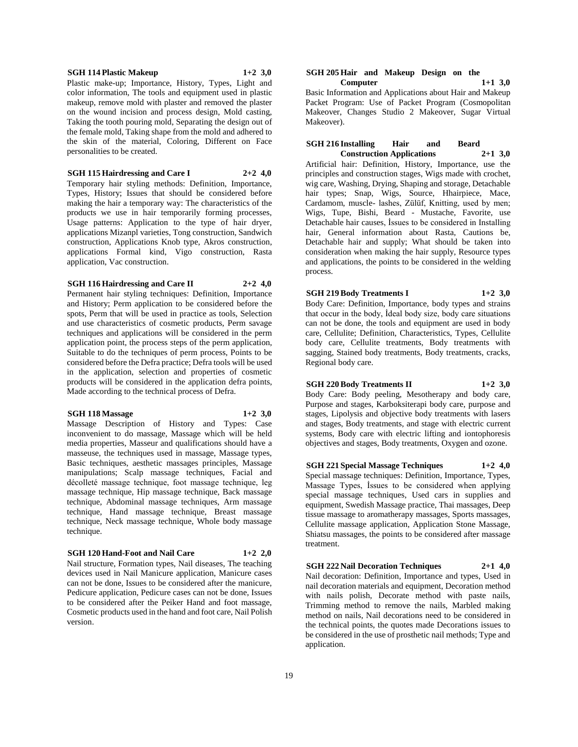#### **SGH 114 Plastic Makeup 1+2 3,0**

Plastic make-up; Importance, History, Types, Light and color information, The tools and equipment used in plastic makeup, remove mold with plaster and removed the plaster on the wound incision and process design, Mold casting, Taking the tooth pouring mold, Separating the design out of the female mold, Taking shape from the mold and adhered to the skin of the material, Coloring, Different on Face personalities to be created.

**SGH 115 Hairdressing and Care I 2+2 4,0**

Temporary hair styling methods: Definition, Importance, Types, History; Issues that should be considered before making the hair a temporary way: The characteristics of the products we use in hair temporarily forming processes, Usage patterns: Application to the type of hair dryer, applications Mizanpl varieties, Tong construction, Sandwich construction, Applications Knob type, Akros construction, applications Formal kind, Vigo construction, Rasta application, Vac construction.

#### **SGH 116 Hairdressing and Care II 2+2 4,0**

Permanent hair styling techniques: Definition, Importance and History; Perm application to be considered before the spots, Perm that will be used in practice as tools, Selection and use characteristics of cosmetic products, Perm savage techniques and applications will be considered in the perm application point, the process steps of the perm application, Suitable to do the techniques of perm process, Points to be considered before the Defra practice; Defra tools will be used in the application, selection and properties of cosmetic products will be considered in the application defra points, Made according to the technical process of Defra.

#### **SGH 118 Massage 1+2 3,0**

Massage Description of History and Types: Case inconvenient to do massage, Massage which will be held media properties, Masseur and qualifications should have a masseuse, the techniques used in massage, Massage types, Basic techniques, aesthetic massages principles, Massage manipulations; Scalp massage techniques, Facial and décolleté massage technique, foot massage technique, leg massage technique, Hip massage technique, Back massage technique, Abdominal massage techniques, Arm massage technique, Hand massage technique, Breast massage technique, Neck massage technique, Whole body massage technique.

#### **SGH 120 Hand-Foot and Nail Care 1+2 2,0**

Nail structure, Formation types, Nail diseases, The teaching devices used in Nail Manicure application, Manicure cases can not be done, Issues to be considered after the manicure, Pedicure application, Pedicure cases can not be done, Issues to be considered after the Peiker Hand and foot massage, Cosmetic products used in the hand and foot care, Nail Polish version.

#### **SGH 205 Hair and Makeup Design on the Computer 1+1 3,0**

Basic Information and Applications about Hair and Makeup Packet Program: Use of Packet Program (Cosmopolitan Makeover, Changes Studio 2 Makeover, Sugar Virtual Makeover).

#### **SGH 216 Installing Hair and Beard Construction Applications 2+1 3,0**

Artificial hair: Definition, History, Importance, use the principles and construction stages, Wigs made with crochet, wig care, Washing, Drying, Shaping and storage, Detachable hair types; Snap, Wigs, Source, Hhairpiece, Mace, Cardamom, muscle- lashes, Zülüf, Knitting, used by men; Wigs, Tupe, Bishi, Beard - Mustache, Favorite, use Detachable hair causes, İssues to be considered in Installing hair, General information about Rasta, Cautions be, Detachable hair and supply; What should be taken into consideration when making the hair supply, Resource types and applications, the points to be considered in the welding process.

# **SGH 219 Body Treatments I 1+2 3,0**

Body Care: Definition, Importance, body types and strains that occur in the body, İdeal body size, body care situations can not be done, the tools and equipment are used in body care, Cellulite; Definition, Characteristics, Types, Cellulite body care, Cellulite treatments, Body treatments with sagging, Stained body treatments, Body treatments, cracks, Regional body care.

### **SGH 220 Body Treatments II 1+2 3,0**

Body Care: Body peeling, Mesotherapy and body care, Purpose and stages, Karboksiterapi body care, purpose and stages, Lipolysis and objective body treatments with lasers and stages, Body treatments, and stage with electric current systems, Body care with electric lifting and iontophoresis objectives and stages, Body treatments, Oxygen and ozone.

#### **SGH 221 Special Massage Techniques 1+2 4,0**

Special massage techniques: Definition, Importance, Types, Massage Types, İssues to be considered when applying special massage techniques, Used cars in supplies and equipment, Swedish Massage practice, Thai massages, Deep tissue massage to aromatherapy massages, Sports massages, Cellulite massage application, Application Stone Massage, Shiatsu massages, the points to be considered after massage treatment.

#### **SGH 222 Nail Decoration Techniques 2+1 4,0**

Nail decoration: Definition, Importance and types, Used in nail decoration materials and equipment, Decoration method with nails polish, Decorate method with paste nails, Trimming method to remove the nails, Marbled making method on nails, Nail decorations need to be considered in the technical points, the quotes made Decorations issues to be considered in the use of prosthetic nail methods; Type and application.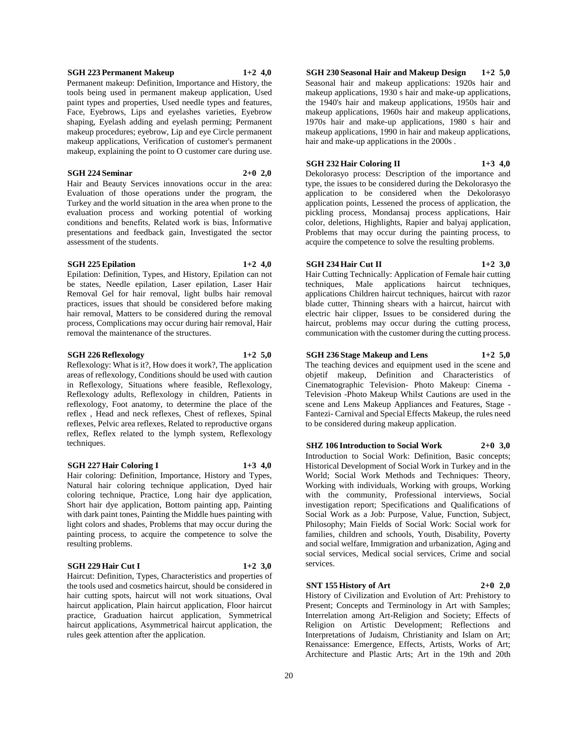#### hair removal, Matters to be considered during the removal process, Complications may occur during hair removal, Hair

#### **SGH 226 Reflexology 1+2 5,0**

removal the maintenance of the structures.

Reflexology: What is it?, How does it work?, The application

areas of reflexology, Conditions should be used with caution in Reflexology, Situations where feasible, Reflexology, Reflexology adults, Reflexology in children, Patients in reflexology, Foot anatomy, to determine the place of the reflex , Head and neck reflexes, Chest of reflexes, Spinal reflexes, Pelvic area reflexes, Related to reproductive organs reflex, Reflex related to the lymph system, Reflexology techniques.

### **SGH 227 Hair Coloring I 1+3 4,0**

Hair coloring: Definition, Importance, History and Types, Natural hair coloring technique application, Dyed hair coloring technique, Practice, Long hair dye application, Short hair dye application, Bottom painting app, Painting with dark paint tones, Painting the Middle hues painting with light colors and shades, Problems that may occur during the painting process, to acquire the competence to solve the resulting problems.

#### **SGH 229 Hair Cut I 1+2 3,0**

Haircut: Definition, Types, Characteristics and properties of the tools used and cosmetics haircut, should be considered in hair cutting spots, haircut will not work situations, Oval haircut application, Plain haircut application, Floor haircut practice, Graduation haircut application, Symmetrical haircut applications, Asymmetrical haircut application, the rules geek attention after the application.

**SGH 230 Seasonal Hair and Makeup Design 1+2 5,0** Seasonal hair and makeup applications: 1920s hair and makeup applications, 1930 s hair and make-up applications, the 1940's hair and makeup applications, 1950s hair and makeup applications, 1960s hair and makeup applications, 1970s hair and make-up applications, 1980 s hair and makeup applications, 1990 in hair and makeup applications, hair and make-up applications in the 2000s .

#### **SGH 232 Hair Coloring II 1+3 4,0**

Dekolorasyo process: Description of the importance and type, the issues to be considered during the Dekolorasyo the application to be considered when the Dekolorasyo application points, Lessened the process of application, the pickling process, Mondansaj process applications, Hair color, deletions, Highlights, Rapier and balyaj application, Problems that may occur during the painting process, to acquire the competence to solve the resulting problems.

### **SGH 234 Hair Cut II 1+2 3,0**

Hair Cutting Technically: Application of Female hair cutting techniques, Male applications haircut techniques, applications Children haircut techniques, haircut with razor blade cutter, Thinning shears with a haircut, haircut with electric hair clipper, Issues to be considered during the haircut, problems may occur during the cutting process, communication with the customer during the cutting process.

### **SGH 236 Stage Makeup and Lens 1+2 5,0**

The teaching devices and equipment used in the scene and objetif makeup, Definition and Characteristics of Cinematographic Television- Photo Makeup: Cinema - Television -Photo Makeup Whilst Cautions are used in the scene and Lens Makeup Appliances and Features, Stage - Fantezi- Carnival and Special Effects Makeup, the rules need to be considered during makeup application.

**SHZ 106 Introduction to Social Work 2+0 3,0**

Introduction to Social Work: Definition, Basic concepts; Historical Development of Social Work in Turkey and in the World; Social Work Methods and Techniques: Theory, Working with individuals, Working with groups, Working with the community, Professional interviews, Social investigation report; Specifications and Qualifications of Social Work as a Job: Purpose, Value, Function, Subject, Philosophy; Main Fields of Social Work: Social work for families, children and schools, Youth, Disability, Poverty and social welfare, Immigration and urbanization, Aging and social services, Medical social services, Crime and social services.

### **SNT 155 History of Art 2+0 2,0**

History of Civilization and Evolution of Art: Prehistory to Present; Concepts and Terminology in Art with Samples; Interrelation among Art-Religion and Society; Effects of Religion on Artistic Development; Reflections and Interpretations of Judaism, Christianity and Islam on Art; Renaissance: Emergence, Effects, Artists, Works of Art; Architecture and Plastic Arts; Art in the 19th and 20th

#### **SGH 223 Permanent Makeup 1+2 4,0**

Permanent makeup: Definition, Importance and History, the tools being used in permanent makeup application, Used paint types and properties, Used needle types and features, Face, Eyebrows, Lips and eyelashes varieties, Eyebrow shaping, Eyelash adding and eyelash perming; Permanent makeup procedures; eyebrow, Lip and eye Circle permanent makeup applications, Verification of customer's permanent makeup, explaining the point to O customer care during use.

Evaluation of those operations under the program, the Turkey and the world situation in the area when prone to the evaluation process and working potential of working conditions and benefits, Related work is bias, İnformative presentations and feedback gain, Investigated the sector

Epilation: Definition, Types, and History, Epilation can not be states, Needle epilation, Laser epilation, Laser Hair Removal Gel for hair removal, light bulbs hair removal practices, issues that should be considered before making

#### **SGH 224 Seminar 2+0 2,0**

assessment of the students.

Hair and Beauty Services innovations occur in the area:

**SGH 225 Epilation 1+2 4,0**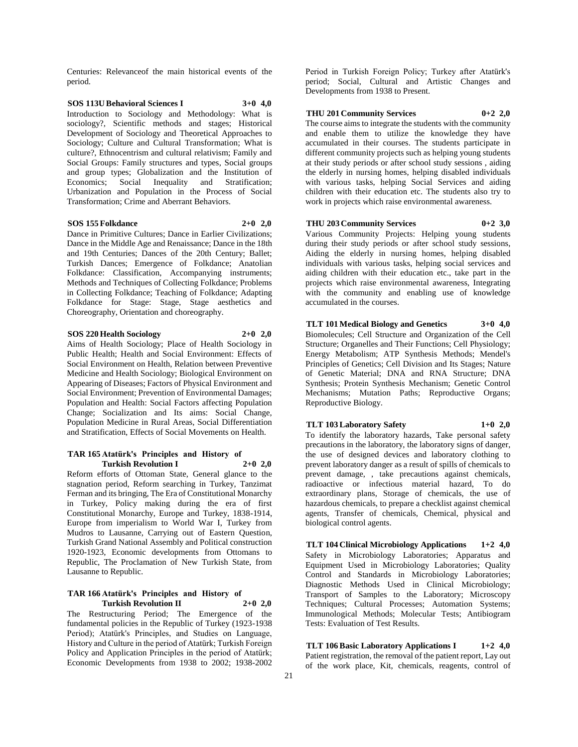Centuries: Relevanceof the main historical events of the period.

# **SOS 113U Behavioral Sciences I 3+0 4,0**

Introduction to Sociology and Methodology: What is sociology?, Scientific methods and stages; Historical Development of Sociology and Theoretical Approaches to Sociology; Culture and Cultural Transformation; What is culture?, Ethnocentrism and cultural relativism; Family and Social Groups: Family structures and types, Social groups and group types; Globalization and the Institution of Economics; Social Inequality and Stratification; Stratification: Urbanization and Population in the Process of Social Transformation; Crime and Aberrant Behaviors.

#### **SOS 155 Folkdance 2+0 2,0**

Dance in Primitive Cultures; Dance in Earlier Civilizations; Dance in the Middle Age and Renaissance; Dance in the 18th and 19th Centuries; Dances of the 20th Century; Ballet; Turkish Dances; Emergence of Folkdance; Anatolian Folkdance: Classification, Accompanying instruments; Methods and Techniques of Collecting Folkdance; Problems in Collecting Folkdance; Teaching of Folkdance; Adapting Folkdance for Stage: Stage, Stage aesthetics and Choreography, Orientation and choreography.

#### **SOS 220 Health Sociology 2+0 2,0**

Aims of Health Sociology; Place of Health Sociology in Public Health; Health and Social Environment: Effects of Social Environment on Health, Relation between Preventive Medicine and Health Sociology; Biological Environment on Appearing of Diseases; Factors of Physical Environment and Social Environment; Prevention of Environmental Damages; Population and Health: Social Factors affecting Population Change; Socialization and Its aims: Social Change, Population Medicine in Rural Areas, Social Differentiation and Stratification, Effects of Social Movements on Health.

#### **TAR 165 Atatürk's Principles and History of Turkish Revolution I 2+0 2,0**

Reform efforts of Ottoman State, General glance to the stagnation period, Reform searching in Turkey, Tanzimat Ferman and its bringing, The Era of Constitutional Monarchy in Turkey, Policy making during the era of first Constitutional Monarchy, Europe and Turkey, 1838-1914, Europe from imperialism to World War I, Turkey from Mudros to Lausanne, Carrying out of Eastern Question, Turkish Grand National Assembly and Political construction 1920-1923, Economic developments from Ottomans to Republic, The Proclamation of New Turkish State, from Lausanne to Republic.

#### **TAR 166 Atatürk's Principles and History of Turkish Revolution II 2+0 2,0**

The Restructuring Period; The Emergence of the fundamental policies in the Republic of Turkey (1923-1938 Period); Atatürk's Principles, and Studies on Language, History and Culture in the period of Atatürk; Turkish Foreign Policy and Application Principles in the period of Atatürk; Economic Developments from 1938 to 2002; 1938-2002

Period in Turkish Foreign Policy; Turkey after Atatürk's period; Social, Cultural and Artistic Changes and Developments from 1938 to Present.

#### **THU 201 Community Services 0+2 2,0**

The course aims to integrate the students with the community and enable them to utilize the knowledge they have accumulated in their courses. The students participate in different community projects such as helping young students at their study periods or after school study sessions , aiding the elderly in nursing homes, helping disabled individuals with various tasks, helping Social Services and aiding children with their education etc. The students also try to work in projects which raise environmental awareness.

#### **THU 203 Community Services 0+2 3,0**

Various Community Projects: Helping young students during their study periods or after school study sessions, Aiding the elderly in nursing homes, helping disabled individuals with various tasks, helping social services and aiding children with their education etc., take part in the projects which raise environmental awareness, Integrating with the community and enabling use of knowledge accumulated in the courses.

**TLT 101 Medical Biology and Genetics 3+0 4,0** Biomolecules; Cell Structure and Organization of the Cell Structure; Organelles and Their Functions; Cell Physiology; Energy Metabolism; ATP Synthesis Methods; Mendel's Principles of Genetics; Cell Division and Its Stages; Nature of Genetic Material; DNA and RNA Structure; DNA Synthesis; Protein Synthesis Mechanism; Genetic Control Mechanisms; Mutation Paths; Reproductive Organs; Reproductive Biology.

#### **TLT 103 Laboratory Safety 1+0 2,0**

To identify the laboratory hazards, Take personal safety precautions in the laboratory, the laboratory signs of danger, the use of designed devices and laboratory clothing to prevent laboratory danger as a result of spills of chemicals to prevent damage, , take precautions against chemicals, radioactive or infectious material hazard, To do extraordinary plans, Storage of chemicals, the use of hazardous chemicals, to prepare a checklist against chemical agents, Transfer of chemicals, Chemical, physical and biological control agents.

**TLT 104 Clinical Microbiology Applications 1+2 4,0** Safety in Microbiology Laboratories; Apparatus and Equipment Used in Microbiology Laboratories; Quality Control and Standards in Microbiology Laboratories; Diagnostic Methods Used in Clinical Microbiology; Transport of Samples to the Laboratory; Microscopy Techniques; Cultural Processes; Automation Systems; Immunological Methods; Molecular Tests; Antibiogram Tests: Evaluation of Test Results.

**TLT 106 Basic Laboratory Applications I 1+2 4,0** Patient registration, the removal of the patient report, Lay out of the work place, Kit, chemicals, reagents, control of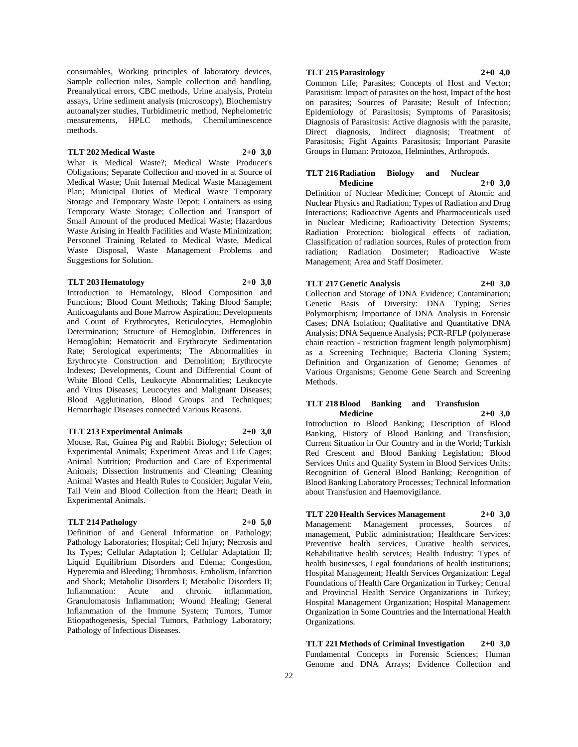consumables, Working principles of laboratory devices, Sample collection rules, Sample collection and handling, Preanalytical errors, CBC methods, Urine analysis, Protein assays, Urine sediment analysis (microscopy), Biochemistry autoanalyzer studies, Turbidimetric method, Nephelometric measurements, HPLC methods, Chemiluminescence methods.

#### **TLT 202 Medical Waste 2+0 3,0**

What is Medical Waste?; Medical Waste Producer's Obligations; Separate Collection and moved in at Source of Medical Waste; Unit Internal Medical Waste Management Plan; Municipal Duties of Medical Waste Temporary Storage and Temporary Waste Depot; Containers as using Temporary Waste Storage; Collection and Transport of Small Amount of the produced Medical Waste; Hazardous Waste Arising in Health Facilities and Waste Minimization; Personnel Training Related to Medical Waste, Medical Waste Disposal, Waste Management Problems and Suggestions for Solution.

#### **TLT 203 Hematology 2+0 3,0**

Introduction to Hematology, Blood Composition and Functions; Blood Count Methods; Taking Blood Sample; Anticoagulants and Bone Marrow Aspiration; Developments and Count of Erythrocytes, Reticulocytes, Hemoglobin Determination; Structure of Hemoglobin, Differences in Hemoglobin; Hematocrit and Erythrocyte Sedimentation Rate; Serological experiments; The Abnormalities in Erythrocyte Construction and Demolition; Erythrocyte Indexes; Developments, Count and Differential Count of White Blood Cells, Leukocyte Abnormalities; Leukocyte and Virus Diseases; Leucocytes and Malignant Diseases; Blood Agglutination, Blood Groups and Techniques; Hemorrhagic Diseases connected Various Reasons.

#### **TLT 213 Experimental Animals 2+0 3,0**

Mouse, Rat, Guinea Pig and Rabbit Biology; Selection of Experimental Animals; Experiment Areas and Life Cages; Animal Nutrition; Production and Care of Experimental Animals; Dissection Instruments and Cleaning; Cleaning Animal Wastes and Health Rules to Consider; Jugular Vein, Tail Vein and Blood Collection from the Heart; Death in Experimental Animals.

#### **TLT 214 Pathology 2+0 5,0**

Definition of and General Information on Pathology; Pathology Laboratories; Hospital; Cell Injury; Necrosis and Its Types; Cellular Adaptation I; Cellular Adaptation II; Liquid Equilibrium Disorders and Edema; Congestion, Hyperemia and Bleeding; Thrombosis, Embolism, Infarction and Shock; Metabolic Disorders I; Metabolic Disorders II; Inflammation: Acute and chronic inflammation, Granulomatosis Inflammation; Wound Healing; General Inflammation of the Immune System; Tumors, Tumor Etiopathogenesis, Special Tumors, Pathology Laboratory; Pathology of Infectious Diseases.

### **TLT 215 Parasitology 2+0 4,0**

Common Life; Parasites; Concepts of Host and Vector; Parasitism: Impact of parasites on the host, Impact of the host on parasites; Sources of Parasite; Result of Infection; Epidemiology of Parasitosis; Symptoms of Parasitosis; Diagnosis of Parasitosis: Active diagnosis with the parasite, Direct diagnosis, Indirect diagnosis; Treatment of Parasitosis; Fight Againts Parasitosis; Important Parasite Groups in Human: Protozoa, Helminthes, Arthropods.

#### **TLT 216 Radiation Biology and Nuclear Medicine 2+0 3,0**

Definition of Nuclear Medicine; Concept of Atomic and Nuclear Physics and Radiation; Types of Radiation and Drug Interactions; Radioactive Agents and Pharmaceuticals used in Nuclear Medicine; Radioactivity Detection Systems; Radiation Protection: biological effects of radiation, Classification of radiation sources, Rules of protection from radiation; Radiation Dosimeter; Radioactive Waste Management; Area and Staff Dosimeter.

#### **TLT 217 Genetic Analysis 2+0 3,0**

Collection and Storage of DNA Evidence; Contamination; Genetic Basis of Diversity: DNA Typing; Series Polymorphism; Importance of DNA Analysis in Forensic Cases; DNA Isolation; Qualitative and Quantitative DNA Analysis; DNA Sequence Analysis; PCR-RFLP (polymerase chain reaction - restriction fragment length polymorphism) as a Screening Technique; Bacteria Cloning System; Definition and Organization of Genome; Genomes of Various Organisms; Genome Gene Search and Screening Methods.

#### **TLT 218 Blood Banking and Transfusion Medicine 2+0 3,0**

Introduction to Blood Banking; Description of Blood Banking, History of Blood Banking and Transfusion; Current Situation in Our Country and in the World; Turkish Red Crescent and Blood Banking Legislation; Blood Services Units and Quality System in Blood Services Units; Recognition of General Blood Banking; Recognition of Blood Banking Laboratory Processes; Technical Information about Transfusion and Haemovigilance.

# **TLT 220 Health Services Management 2+0 3,0**

Management: Management processes, Sources of management, Public administration; Healthcare Services: Preventive health services, Curative health services, Rehabilitative health services; Health Industry: Types of health businesses, Legal foundations of health institutions; Hospital Management; Health Services Organization: Legal Foundations of Health Care Organization in Turkey; Central and Provincial Health Service Organizations in Turkey; Hospital Management Organization; Hospital Management Organization in Some Countries and the International Health Organizations.

**TLT 221 Methods of Criminal Investigation 2+0 3,0** Fundamental Concepts in Forensic Sciences; Human Genome and DNA Arrays; Evidence Collection and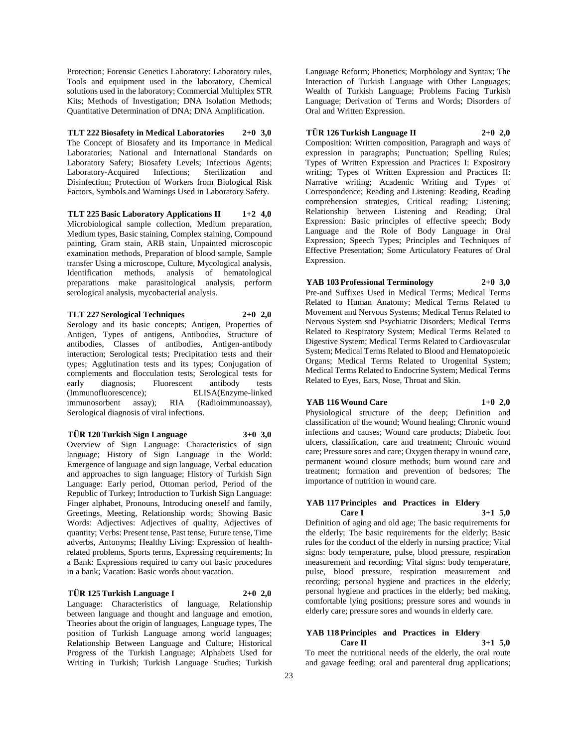Protection; Forensic Genetics Laboratory: Laboratory rules, Tools and equipment used in the laboratory, Chemical solutions used in the laboratory; Commercial Multiplex STR Kits; Methods of Investigation; DNA Isolation Methods; Quantitative Determination of DNA; DNA Amplification.

**TLT 222 Biosafety in Medical Laboratories 2+0 3,0** The Concept of Biosafety and its Importance in Medical Laboratories; National and International Standards on Laboratory Safety; Biosafety Levels; Infectious Agents; Laboratory-Acquired Infections; Sterilization and Disinfection; Protection of Workers from Biological Risk Factors, Symbols and Warnings Used in Laboratory Safety.

**TLT 225 Basic Laboratory Applications II 1+2 4,0** Microbiological sample collection, Medium preparation, Medium types, Basic staining, Complex staining, Compound painting, Gram stain, ARB stain, Unpainted microscopic examination methods, Preparation of blood sample, Sample transfer Using a microscope, Culture, Mycological analysis, Identification methods, analysis of hematological preparations make parasitological analysis, perform serological analysis, mycobacterial analysis.

**TLT 227 Serological Techniques 2+0 2,0** Serology and its basic concepts; Antigen, Properties of Antigen, Types of antigens, Antibodies, Structure of antibodies, Classes of antibodies, Antigen-antibody interaction; Serological tests; Precipitation tests and their types; Agglutination tests and its types; Conjugation of complements and flocculation tests; Serological tests for early diagnosis; Fluorescent antibody tests (Immunofluorescence); ELISA(Enzyme-linked immunosorbent assay); RIA (Radioimmunoassay), Serological diagnosis of viral infections.

**TÜR 120 Turkish Sign Language 3+0 3,0**

Overview of Sign Language: Characteristics of sign language; History of Sign Language in the World: Emergence of language and sign language, Verbal education and approaches to sign language; History of Turkish Sign Language: Early period, Ottoman period, Period of the Republic of Turkey; Introduction to Turkish Sign Language: Finger alphabet, Pronouns, Introducing oneself and family, Greetings, Meeting, Relationship words; Showing Basic Words: Adjectives: Adjectives of quality, Adjectives of quantity; Verbs: Present tense, Past tense, Future tense, Time adverbs, Antonyms; Healthy Living: Expression of healthrelated problems, Sports terms, Expressing requirements; In a Bank: Expressions required to carry out basic procedures in a bank; Vacation: Basic words about vacation.

**TÜR 125 Turkish Language I 2+0 2,0**

Language: Characteristics of language, Relationship between language and thought and language and emotion, Theories about the origin of languages, Language types, The position of Turkish Language among world languages; Relationship Between Language and Culture; Historical Progress of the Turkish Language; Alphabets Used for Writing in Turkish; Turkish Language Studies; Turkish Language Reform; Phonetics; Morphology and Syntax; The Interaction of Turkish Language with Other Languages; Wealth of Turkish Language; Problems Facing Turkish Language; Derivation of Terms and Words; Disorders of Oral and Written Expression.

### **TÜR 126 Turkish Language II 2+0 2,0**

Composition: Written composition, Paragraph and ways of expression in paragraphs; Punctuation; Spelling Rules; Types of Written Expression and Practices I: Expository writing; Types of Written Expression and Practices II: Narrative writing; Academic Writing and Types of Correspondence; Reading and Listening: Reading, Reading comprehension strategies, Critical reading; Listening; Relationship between Listening and Reading; Oral Expression: Basic principles of effective speech; Body Language and the Role of Body Language in Oral Expression; Speech Types; Principles and Techniques of Effective Presentation; Some Articulatory Features of Oral Expression.

### **YAB 103 Professional Terminology 2+0 3,0**

Pre-and Suffixes Used in Medical Terms; Medical Terms Related to Human Anatomy; Medical Terms Related to Movement and Nervous Systems; Medical Terms Related to Nervous System snd Psychiatric Disorders; Medical Terms Related to Respiratory System; Medical Terms Related to Digestive System; Medical Terms Related to Cardiovascular System; Medical Terms Related to Blood and Hematopoietic Organs; Medical Terms Related to Urogenital System; Medical Terms Related to Endocrine System; Medical Terms Related to Eyes, Ears, Nose, Throat and Skin.

#### **YAB 116 Wound Care 1+0 2,0**

Physiological structure of the deep; Definition and classification of the wound; Wound healing; Chronic wound infections and causes; Wound care products; Diabetic foot ulcers, classification, care and treatment; Chronic wound care; Pressure sores and care; Oxygen therapy in wound care, permanent wound closure methods; burn wound care and treatment; formation and prevention of bedsores; The importance of nutrition in wound care.

#### **YAB 117 Principles and Practices in Eldery Care I 3+1 5,0**

Definition of aging and old age; The basic requirements for the elderly; The basic requirements for the elderly; Basic rules for the conduct of the elderly in nursing practice; Vital signs: body temperature, pulse, blood pressure, respiration measurement and recording; Vital signs: body temperature, pulse, blood pressure, respiration measurement and recording; personal hygiene and practices in the elderly; personal hygiene and practices in the elderly; bed making, comfortable lying positions; pressure sores and wounds in elderly care; pressure sores and wounds in elderly care.

### **YAB 118 Principles and Practices in Eldery Care II 3+1 5,0**

To meet the nutritional needs of the elderly, the oral route and gavage feeding; oral and parenteral drug applications;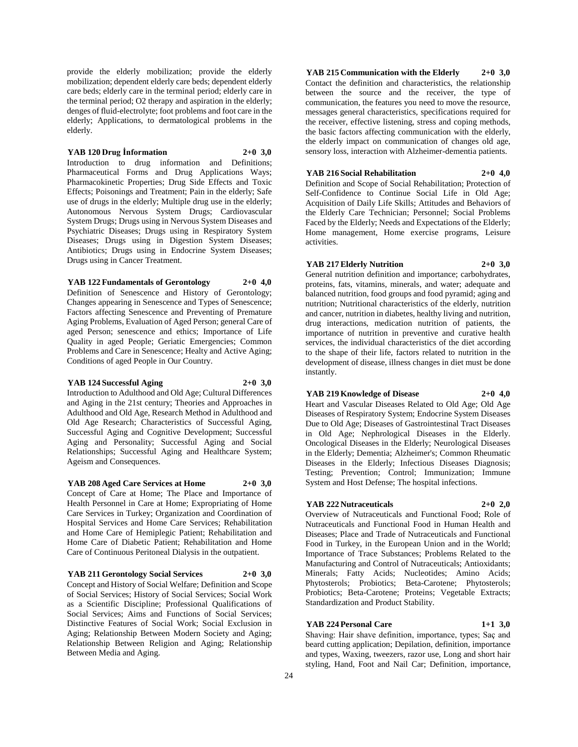provide the elderly mobilization; provide the elderly mobilization; dependent elderly care beds; dependent elderly care beds; elderly care in the terminal period; elderly care in the terminal period; O2 therapy and aspiration in the elderly; denges of fluid-electrolyte; foot problems and foot care in the elderly; Applications, to dermatological problems in the elderly.

#### **YAB 120 Drug İnformation 2+0 3,0**

Introduction to drug information and Definitions; Pharmaceutical Forms and Drug Applications Ways; Pharmacokinetic Properties; Drug Side Effects and Toxic Effects; Poisonings and Treatment; Pain in the elderly; Safe use of drugs in the elderly; Multiple drug use in the elderly; Autonomous Nervous System Drugs; Cardiovascular System Drugs; Drugs using in Nervous System Diseases and Psychiatric Diseases; Drugs using in Respiratory System Diseases; Drugs using in Digestion System Diseases; Antibiotics; Drugs using in Endocrine System Diseases; Drugs using in Cancer Treatment.

### **YAB 122 Fundamentals of Gerontology 2+0 4,0**

Definition of Senescence and History of Gerontology; Changes appearing in Senescence and Types of Senescence; Factors affecting Senescence and Preventing of Premature Aging Problems, Evaluation of Aged Person; general Care of aged Person; senescence and ethics; Importance of Life Quality in aged People; Geriatic Emergencies; Common Problems and Care in Senescence; Healty and Active Aging; Conditions of aged People in Our Country.

#### **YAB 124 Successful Aging 2+0 3,0**

Introduction to Adulthood and Old Age; Cultural Differences and Aging in the 21st century; Theories and Approaches in Adulthood and Old Age, Research Method in Adulthood and Old Age Research; Characteristics of Successful Aging, Successful Aging and Cognitive Development; Successful Aging and Personality; Successful Aging and Social Relationships; Successful Aging and Healthcare System; Ageism and Consequences.

**YAB 208 Aged Care Services at Home 2+0 3,0** Concept of Care at Home; The Place and Importance of Health Personnel in Care at Home; Expropriating of Home Care Services in Turkey; Organization and Coordination of Hospital Services and Home Care Services; Rehabilitation and Home Care of Hemiplegic Patient; Rehabilitation and Home Care of Diabetic Patient; Rehabilitation and Home

Care of Continuous Peritoneal Dialysis in the outpatient.

**YAB 211 Gerontology Social Services 2+0 3,0** Concept and History of Social Welfare; Definition and Scope of Social Services; History of Social Services; Social Work as a Scientific Discipline; Professional Qualifications of Social Services; Aims and Functions of Social Services; Distinctive Features of Social Work; Social Exclusion in Aging; Relationship Between Modern Society and Aging; Relationship Between Religion and Aging; Relationship Between Media and Aging.

### **YAB 215 Communication with the Elderly 2+0 3,0**

Contact the definition and characteristics, the relationship between the source and the receiver, the type of communication, the features you need to move the resource, messages general characteristics, specifications required for the receiver, effective listening, stress and coping methods, the basic factors affecting communication with the elderly, the elderly impact on communication of changes old age, sensory loss, interaction with Alzheimer-dementia patients.

#### **YAB 216 Social Rehabilitation 2+0 4,0**

Definition and Scope of Social Rehabilitation; Protection of Self-Confidence to Continue Social Life in Old Age; Acquisition of Daily Life Skills; Attitudes and Behaviors of the Elderly Care Technician; Personnel; Social Problems Faced by the Elderly; Needs and Expectations of the Elderly; Home management, Home exercise programs, Leisure activities.

### **YAB 217 Elderly Nutrition 2+0 3,0**

General nutrition definition and importance; carbohydrates, proteins, fats, vitamins, minerals, and water; adequate and balanced nutrition, food groups and food pyramid; aging and nutrition; Nutritional characteristics of the elderly, nutrition and cancer, nutrition in diabetes, healthy living and nutrition, drug interactions, medication nutrition of patients, the importance of nutrition in preventive and curative health services, the individual characteristics of the diet according to the shape of their life, factors related to nutrition in the development of disease, illness changes in diet must be done instantly.

### **YAB 219 Knowledge of Disease 2+0 4,0**

Heart and Vascular Diseases Related to Old Age; Old Age Diseases of Respiratory System; Endocrine System Diseases Due to Old Age; Diseases of Gastrointestinal Tract Diseases in Old Age; Nephrological Diseases in the Elderly. Oncological Diseases in the Elderly; Neurological Diseases in the Elderly; Dementia; Alzheimer's; Common Rheumatic Diseases in the Elderly; Infectious Diseases Diagnosis; Testing; Prevention; Control; Immunization; Immune System and Host Defense; The hospital infections.

### **YAB 222 Nutraceuticals 2+0 2,0**

Overview of Nutraceuticals and Functional Food; Role of Nutraceuticals and Functional Food in Human Health and Diseases; Place and Trade of Nutraceuticals and Functional Food in Turkey, in the European Union and in the World; Importance of Trace Substances; Problems Related to the Manufacturing and Control of Nutraceuticals; Antioxidants; Minerals; Fatty Acids; Nucleotides; Amino Acids; Phytosterols; Probiotics; Beta-Carotene; Phytosterols; Probiotics; Beta-Carotene; Proteins; Vegetable Extracts; Standardization and Product Stability.

### **YAB 224 Personal Care 1+1 3,0**

Shaving: Hair shave definition, importance, types; Saç and beard cutting application; Depilation, definition, importance and types, Waxing, tweezers, razor use, Long and short hair styling, Hand, Foot and Nail Car; Definition, importance,